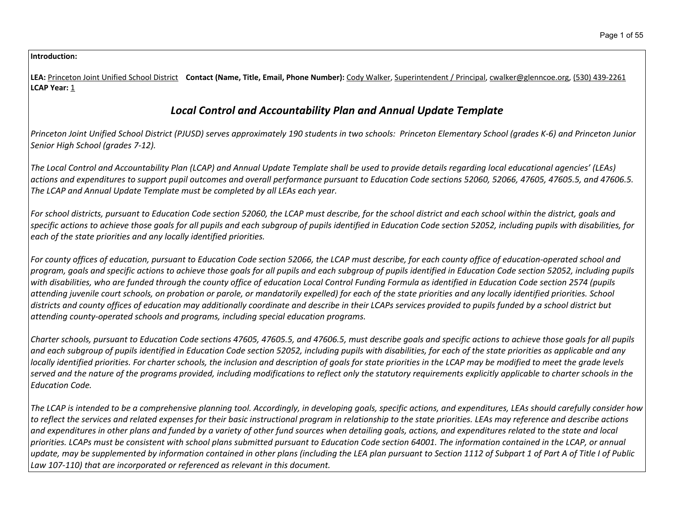### **Introduction:**

**LEA:** Princeton Joint Unified School District **Contact (Name, Title, Email, Phone Number):** Cody Walker, Superintendent / Principal, cwalker@glenncoe.org, (530) 439-2261 **LCAP Year:** 1

# *Local Control and Accountability Plan and Annual Update Template*

Princeton Joint Unified School District (PJUSD) serves approximately 190 students in two schools: Princeton Elementary School (grades K-6) and Princeton Junior *Senior High School (grades 7-12).*

The Local Control and Accountability Plan (LCAP) and Annual Update Template shall be used to provide details regarding local educational agencies' (LEAs) actions and expenditures to support pupil outcomes and overall performance pursuant to Education Code sections 52060, 52066, 47605, 47605.5, and 47606.5. *The LCAP and Annual Update Template must be completed by all LEAs each year.*

For school districts, pursuant to Education Code section 52060, the LCAP must describe, for the school district and each school within the district, goals and specific actions to achieve those goals for all pupils and each subgroup of pupils identified in Education Code section 52052, including pupils with disabilities, for *each of the state priorities and any locally identified priorities.*

For county offices of education, pursuant to Education Code section 52066, the LCAP must describe, for each county office of education-operated school and program, goals and specific actions to achieve those goals for all pupils and each subgroup of pupils identified in Education Code section 52052, including pupils with disabilities, who are funded through the county office of education Local Control Funding Formula as identified in Education Code section 2574 (pupils attending juvenile court schools, on probation or parole, or mandatorily expelled) for each of the state priorities and any locally identified priorities. School districts and county offices of education may additionally coordinate and describe in their LCAPs services provided to pupils funded by a school district but *attending county-operated schools and programs, including special education programs.*

Charter schools, pursuant to Education Code sections 47605, 47605.5, and 47606.5, must describe goals and specific actions to achieve those goals for all pupils and each subgroup of pupils identified in Education Code section 52052, including pupils with disabilities, for each of the state priorities as applicable and any locally identified priorities. For charter schools, the inclusion and description of goals for state priorities in the LCAP may be modified to meet the grade levels served and the nature of the programs provided, including modifications to reflect only the statutory requirements explicitly applicable to charter schools in the *Education Code.*

The LCAP is intended to be a comprehensive planning tool. Accordingly, in developing goals, specific actions, and expenditures, LEAs should carefully consider how to reflect the services and related expenses for their basic instructional program in relationship to the state priorities. LEAs may reference and describe actions and expenditures in other plans and funded by a variety of other fund sources when detailing goals, actions, and expenditures related to the state and local priorities. LCAPs must be consistent with school plans submitted pursuant to Education Code section 64001. The information contained in the LCAP, or annual update, may be supplemented by information contained in other plans (including the LEA plan pursuant to Section 1112 of Subpart 1 of Part A of Title I of Public *Law 107-110) that are incorporated or referenced as relevant in this document.*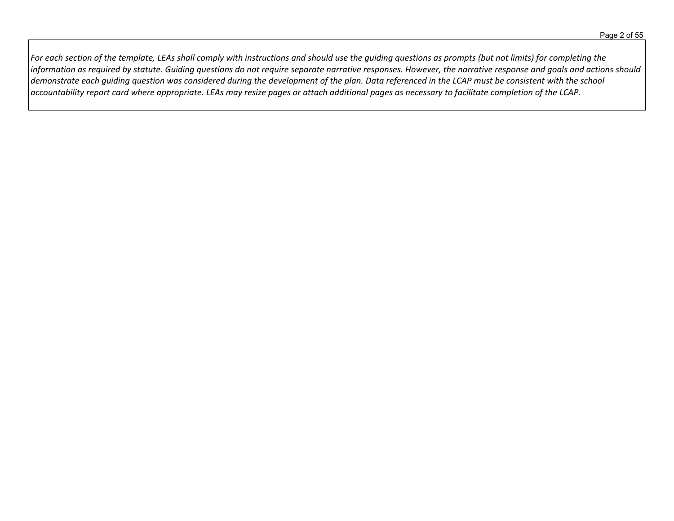For each section of the template, LEAs shall comply with instructions and should use the guiding questions as prompts (but not limits) for completing the information as required by statute. Guiding questions do not require separate narrative responses. However, the narrative response and goals and actions should demonstrate each quiding question was considered during the development of the plan. Data referenced in the LCAP must be consistent with the school accountability report card where appropriate. LEAs may resize pages or attach additional pages as necessary to facilitate completion of the LCAP.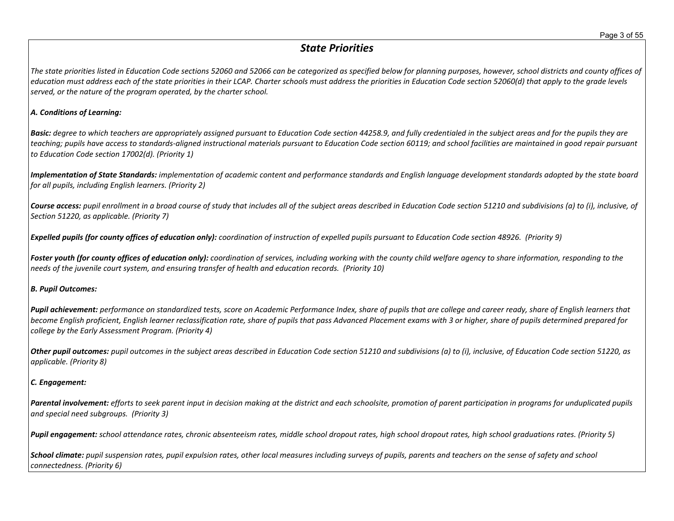# *State Priorities*

The state priorities listed in Education Code sections 52060 and 52066 can be categorized as specified below for planning purposes, however, school districts and county offices of education must address each of the state priorities in their LCAP. Charter schools must address the priorities in Education Code section 52060(d) that apply to the grade levels *served, or the nature of the program operated, by the charter school.*

### *A. Conditions of Learning:*

**Basic:** degree to which teachers are appropriately assigned pursuant to Education Code section 44258.9, and fully credentialed in the subject areas and for the pupils they are teaching; pupils have access to standards-aligned instructional materials pursuant to Education Code section 60119; and school facilities are maintained in good repair pursuant *to Education Code section 17002(d). (Priority 1)*

Implementation of State Standards: implementation of academic content and performance standards and English language development standards adopted by the state board *for all pupils, including English learners. (Priority 2)*

Course access: pupil enrollment in a broad course of study that includes all of the subject areas described in Education Code section 51210 and subdivisions (a) to (i), inclusive, of *Section 51220, as applicable. (Priority 7)*

Expelled pupils (for county offices of education only): coordination of instruction of expelled pupils pursuant to Education Code section 48926. (Priority 9)

Foster youth (for county offices of education only): coordination of services, including working with the county child welfare agency to share information, responding to the *needs of the juvenile court system, and ensuring transfer of health and education records. (Priority 10)*

### *B. Pupil Outcomes:*

Pupil achievement: performance on standardized tests, score on Academic Performance Index, share of pupils that are college and career ready, share of English learners that become English proficient, English learner reclassification rate, share of pupils that pass Advanced Placement exams with 3 or higher, share of pupils determined prepared for *college by the Early Assessment Program. (Priority 4)*

Other pupil outcomes: pupil outcomes in the subject areas described in Education Code section 51210 and subdivisions (a) to (i), inclusive, of Education Code section 51220, as *applicable. (Priority 8)* 

### *C. Engagement:*

Parental involvement: efforts to seek parent input in decision making at the district and each schoolsite, promotion of parent participation in programs for unduplicated pupils *and special need subgroups. (Priority 3)*

Pupil engagement: school attendance rates, chronic absenteeism rates, middle school dropout rates, high school dropout rates, high school graduations rates. (Priority 5)

School climate: pupil suspension rates, pupil expulsion rates, other local measures including surveys of pupils, parents and teachers on the sense of safety and school *connectedness. (Priority 6)*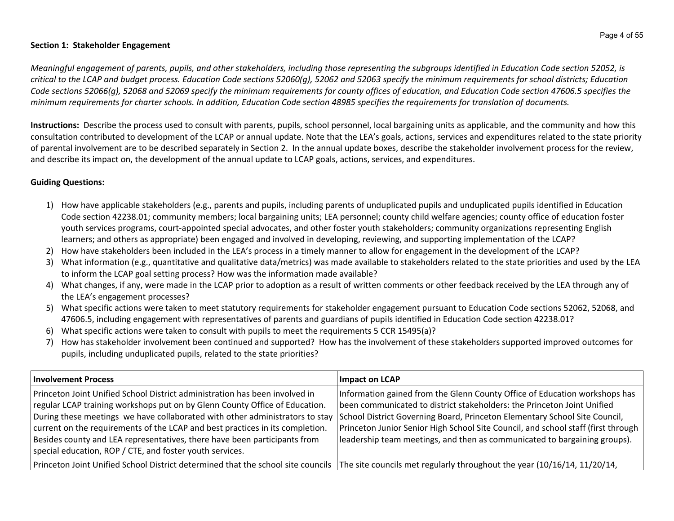### **Section 1: Stakeholder Engagement**

Meaningful engagement of parents, pupils, and other stakeholders, including those representing the subgroups identified in Education Code section 52052, is critical to the LCAP and budget process. Education Code sections 52060(g), 52062 and 52063 specify the minimum requirements for school districts; Education Code sections 52066(g), 52068 and 52069 specify the minimum requirements for county offices of education, and Education Code section 47606.5 specifies the minimum requirements for charter schools. In addition, Education Code section 48985 specifies the requirements for translation of documents.

**Instructions:** Describe the process used to consult with parents, pupils, school personnel, local bargaining units as applicable, and the community and how this consultation contributed to development of the LCAP or annual update. Note that the LEA's goals, actions, services and expenditures related to the state priority of parental involvement are to be described separately in Section 2. In the annual update boxes, describe the stakeholder involvement process for the review, and describe its impact on, the development of the annual update to LCAP goals, actions, services, and expenditures.

### **Guiding Questions:**

- 1) How have applicable stakeholders (e.g., parents and pupils, including parents of unduplicated pupils and unduplicated pupils identified in Education Code section 42238.01; community members; local bargaining units; LEA personnel; county child welfare agencies; county office of education foster youth services programs, court-appointed special advocates, and other foster youth stakeholders; community organizations representing English learners; and others as appropriate) been engaged and involved in developing, reviewing, and supporting implementation of the LCAP?
- 2) How have stakeholders been included in the LEA's process in a timely manner to allow for engagement in the development of the LCAP?
- 3) What information (e.g., quantitative and qualitative data/metrics) was made available to stakeholders related to the state priorities and used by the LEA to inform the LCAP goal setting process? How was the information made available?
- 4) What changes, if any, were made in the LCAP prior to adoption as a result of written comments or other feedback received by the LEA through any of the LEA's engagement processes?
- 5) What specific actions were taken to meet statutory requirements for stakeholder engagement pursuant to Education Code sections 52062, 52068, and 47606.5, including engagement with representatives of parents and guardians of pupils identified in Education Code section 42238.01?
- 6) What specific actions were taken to consult with pupils to meet the requirements 5 CCR 15495(a)?
- 7) How has stakeholder involvement been continued and supported? How has the involvement of these stakeholders supported improved outcomes for pupils, including unduplicated pupils, related to the state priorities?

| <b>Involvement Process</b>                                                                                                                                                                                                                                                                                                                                                                                                                                           | Impact on LCAP                                                                                                                                                                                                                                                                                                                                                                                        |
|----------------------------------------------------------------------------------------------------------------------------------------------------------------------------------------------------------------------------------------------------------------------------------------------------------------------------------------------------------------------------------------------------------------------------------------------------------------------|-------------------------------------------------------------------------------------------------------------------------------------------------------------------------------------------------------------------------------------------------------------------------------------------------------------------------------------------------------------------------------------------------------|
| Princeton Joint Unified School District administration has been involved in<br>regular LCAP training workshops put on by Glenn County Office of Education.<br>During these meetings we have collaborated with other administrators to stay<br>current on the requirements of the LCAP and best practices in its completion.<br>Besides county and LEA representatives, there have been participants from<br>special education, ROP / CTE, and foster youth services. | Information gained from the Glenn County Office of Education workshops has<br>been communicated to district stakeholders: the Princeton Joint Unified<br>School District Governing Board, Princeton Elementary School Site Council,<br>Princeton Junior Senior High School Site Council, and school staff (first through<br>leadership team meetings, and then as communicated to bargaining groups). |
| Princeton Joint Unified School District determined that the school site councils                                                                                                                                                                                                                                                                                                                                                                                     | The site councils met regularly throughout the year (10/16/14, 11/20/14,                                                                                                                                                                                                                                                                                                                              |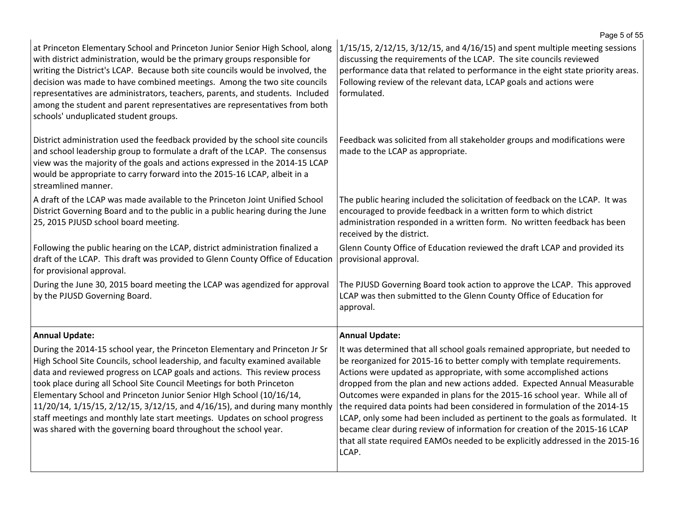|                                                                                                                                                                                                                                                                                                                                                                                                                                                                                                                                                                                                                           | Page 5 of 55                                                                                                                                                                                                                                                                                                                                                                                                                                                                                                                                                                                                                                                                                                                  |
|---------------------------------------------------------------------------------------------------------------------------------------------------------------------------------------------------------------------------------------------------------------------------------------------------------------------------------------------------------------------------------------------------------------------------------------------------------------------------------------------------------------------------------------------------------------------------------------------------------------------------|-------------------------------------------------------------------------------------------------------------------------------------------------------------------------------------------------------------------------------------------------------------------------------------------------------------------------------------------------------------------------------------------------------------------------------------------------------------------------------------------------------------------------------------------------------------------------------------------------------------------------------------------------------------------------------------------------------------------------------|
| at Princeton Elementary School and Princeton Junior Senior High School, along<br>with district administration, would be the primary groups responsible for<br>writing the District's LCAP. Because both site councils would be involved, the<br>decision was made to have combined meetings. Among the two site councils<br>representatives are administrators, teachers, parents, and students. Included<br>among the student and parent representatives are representatives from both<br>schools' unduplicated student groups.                                                                                          | $1/15/15$ , $2/12/15$ , $3/12/15$ , and $4/16/15$ ) and spent multiple meeting sessions<br>discussing the requirements of the LCAP. The site councils reviewed<br>performance data that related to performance in the eight state priority areas.<br>Following review of the relevant data, LCAP goals and actions were<br>formulated.                                                                                                                                                                                                                                                                                                                                                                                        |
| District administration used the feedback provided by the school site councils<br>and school leadership group to formulate a draft of the LCAP. The consensus<br>view was the majority of the goals and actions expressed in the 2014-15 LCAP<br>would be appropriate to carry forward into the 2015-16 LCAP, albeit in a<br>streamlined manner.                                                                                                                                                                                                                                                                          | Feedback was solicited from all stakeholder groups and modifications were<br>made to the LCAP as appropriate.                                                                                                                                                                                                                                                                                                                                                                                                                                                                                                                                                                                                                 |
| A draft of the LCAP was made available to the Princeton Joint Unified School<br>District Governing Board and to the public in a public hearing during the June<br>25, 2015 PJUSD school board meeting.                                                                                                                                                                                                                                                                                                                                                                                                                    | The public hearing included the solicitation of feedback on the LCAP. It was<br>encouraged to provide feedback in a written form to which district<br>administration responded in a written form. No written feedback has been<br>received by the district.                                                                                                                                                                                                                                                                                                                                                                                                                                                                   |
| Following the public hearing on the LCAP, district administration finalized a<br>draft of the LCAP. This draft was provided to Glenn County Office of Education<br>for provisional approval.                                                                                                                                                                                                                                                                                                                                                                                                                              | Glenn County Office of Education reviewed the draft LCAP and provided its<br>provisional approval.                                                                                                                                                                                                                                                                                                                                                                                                                                                                                                                                                                                                                            |
| During the June 30, 2015 board meeting the LCAP was agendized for approval<br>by the PJUSD Governing Board.                                                                                                                                                                                                                                                                                                                                                                                                                                                                                                               | The PJUSD Governing Board took action to approve the LCAP. This approved<br>LCAP was then submitted to the Glenn County Office of Education for<br>approval.                                                                                                                                                                                                                                                                                                                                                                                                                                                                                                                                                                  |
| <b>Annual Update:</b>                                                                                                                                                                                                                                                                                                                                                                                                                                                                                                                                                                                                     | <b>Annual Update:</b>                                                                                                                                                                                                                                                                                                                                                                                                                                                                                                                                                                                                                                                                                                         |
| During the 2014-15 school year, the Princeton Elementary and Princeton Jr Sr<br>High School Site Councils, school leadership, and faculty examined available<br>data and reviewed progress on LCAP goals and actions. This review process<br>took place during all School Site Council Meetings for both Princeton<br>Elementary School and Princeton Junior Senior HIgh School (10/16/14,<br>11/20/14, 1/15/15, 2/12/15, 3/12/15, and 4/16/15), and during many monthly<br>staff meetings and monthly late start meetings. Updates on school progress<br>was shared with the governing board throughout the school year. | It was determined that all school goals remained appropriate, but needed to<br>be reorganized for 2015-16 to better comply with template requirements.<br>Actions were updated as appropriate, with some accomplished actions<br>dropped from the plan and new actions added. Expected Annual Measurable<br>Outcomes were expanded in plans for the 2015-16 school year. While all of<br>the required data points had been considered in formulation of the 2014-15<br>LCAP, only some had been included as pertinent to the goals as formulated. It<br>became clear during review of information for creation of the 2015-16 LCAP<br>that all state required EAMOs needed to be explicitly addressed in the 2015-16<br>LCAP. |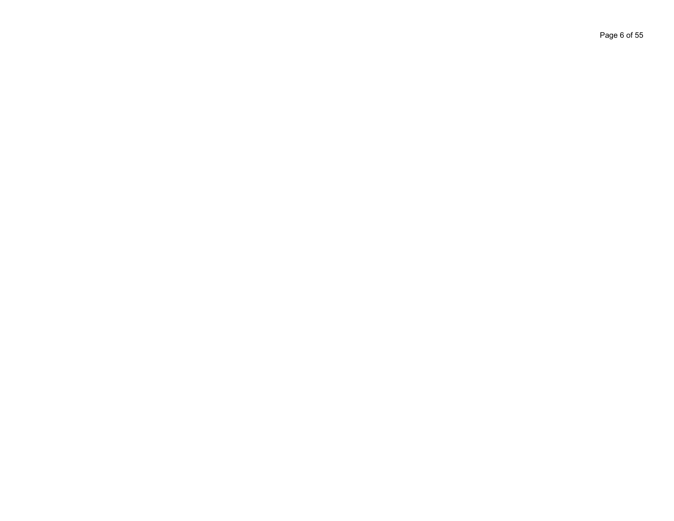Page 6 of 55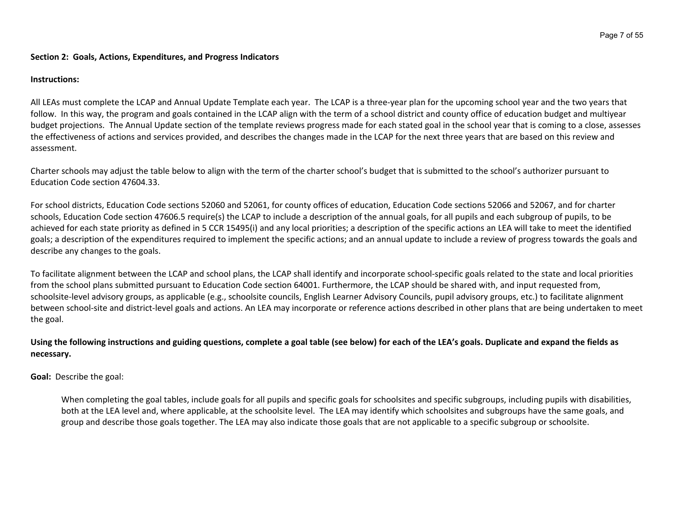#### **Section 2: Goals, Actions, Expenditures, and Progress Indicators**

#### **Instructions:**

All LEAs must complete the LCAP and Annual Update Template each year. The LCAP is a three-year plan for the upcoming school year and the two years that follow. In this way, the program and goals contained in the LCAP align with the term of a school district and county office of education budget and multiyear budget projections. The Annual Update section of the template reviews progress made for each stated goal in the school year that is coming to a close, assesses the effectiveness of actions and services provided, and describes the changes made in the LCAP for the next three years that are based on this review and assessment.

Charter schools may adjust the table below to align with the term of the charter school's budget that is submitted to the school's authorizer pursuant to Education Code section 47604.33.

For school districts, Education Code sections 52060 and 52061, for county offices of education, Education Code sections 52066 and 52067, and for charter schools, Education Code section 47606.5 require(s) the LCAP to include a description of the annual goals, for all pupils and each subgroup of pupils, to be achieved for each state priority as defined in 5 CCR 15495(i) and any local priorities; a description of the specific actions an LEA will take to meet the identified goals; a description of the expenditures required to implement the specific actions; and an annual update to include a review of progress towards the goals and describe any changes to the goals.

To facilitate alignment between the LCAP and school plans, the LCAP shall identify and incorporate school-specific goals related to the state and local priorities from the school plans submitted pursuant to Education Code section 64001. Furthermore, the LCAP should be shared with, and input requested from, schoolsite-level advisory groups, as applicable (e.g., schoolsite councils, English Learner Advisory Councils, pupil advisory groups, etc.) to facilitate alignment between school-site and district-level goals and actions. An LEA may incorporate or reference actions described in other plans that are being undertaken to meet the goal.

### Using the following instructions and guiding questions, complete a goal table (see below) for each of the LEA's goals. Duplicate and expand the fields as **necessary.**

**Goal:** Describe the goal:

When completing the goal tables, include goals for all pupils and specific goals for schoolsites and specific subgroups, including pupils with disabilities, both at the LEA level and, where applicable, at the schoolsite level. The LEA may identify which schoolsites and subgroups have the same goals, and group and describe those goals together. The LEA may also indicate those goals that are not applicable to a specific subgroup or schoolsite.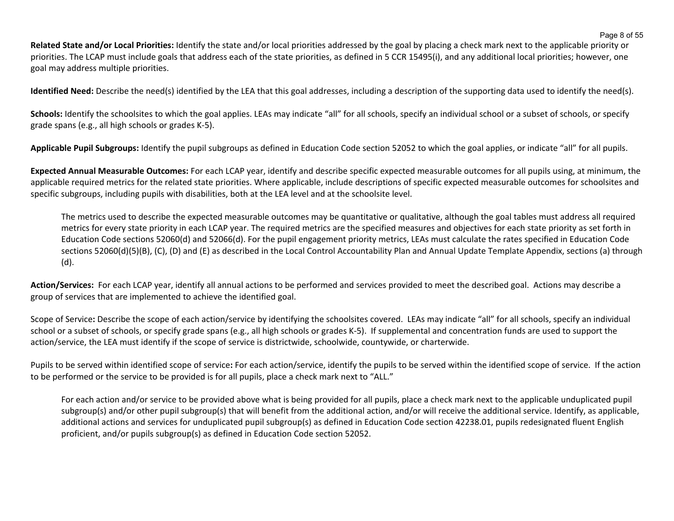**Related State and/or Local Priorities:** Identify the state and/or local priorities addressed by the goal by placing a check mark next to the applicable priority or priorities. The LCAP must include goals that address each of the state priorities, as defined in 5 CCR 15495(i), and any additional local priorities; however, one goal may address multiple priorities.

**Identified Need:** Describe the need(s) identified by the LEA that this goal addresses, including a description of the supporting data used to identify the need(s).

Schools: Identify the schoolsites to which the goal applies. LEAs may indicate "all" for all schools, specify an individual school or a subset of schools, or specify grade spans (e.g., all high schools or grades K-5).

**Applicable Pupil Subgroups:** Identify the pupil subgroups as defined in Education Code section 52052 to which the goal applies, or indicate "all" for all pupils.

**Expected Annual Measurable Outcomes:** For each LCAP year, identify and describe specific expected measurable outcomes for all pupils using, at minimum, the applicable required metrics for the related state priorities. Where applicable, include descriptions of specific expected measurable outcomes for schoolsites and specific subgroups, including pupils with disabilities, both at the LEA level and at the schoolsite level.

The metrics used to describe the expected measurable outcomes may be quantitative or qualitative, although the goal tables must address all required metrics for every state priority in each LCAP year. The required metrics are the specified measures and objectives for each state priority as set forth in Education Code sections 52060(d) and 52066(d). For the pupil engagement priority metrics, LEAs must calculate the rates specified in Education Code sections 52060(d)(5)(B), (C), (D) and (E) as described in the Local Control Accountability Plan and Annual Update Template Appendix, sections (a) through (d).

**Action/Services:** For each LCAP year, identify all annual actions to be performed and services provided to meet the described goal. Actions may describe a group of services that are implemented to achieve the identified goal.

Scope of Service**:** Describe the scope of each action/service by identifying the schoolsites covered. LEAs may indicate "all" for all schools, specify an individual school or a subset of schools, or specify grade spans (e.g., all high schools or grades K-5). If supplemental and concentration funds are used to support the action/service, the LEA must identify if the scope of service is districtwide, schoolwide, countywide, or charterwide.

Pupils to be served within identified scope of service**:** For each action/service, identify the pupils to be served within the identified scope of service. If the action to be performed or the service to be provided is for all pupils, place a check mark next to "ALL."

For each action and/or service to be provided above what is being provided for all pupils, place a check mark next to the applicable unduplicated pupil subgroup(s) and/or other pupil subgroup(s) that will benefit from the additional action, and/or will receive the additional service. Identify, as applicable, additional actions and services for unduplicated pupil subgroup(s) as defined in Education Code section 42238.01, pupils redesignated fluent English proficient, and/or pupils subgroup(s) as defined in Education Code section 52052.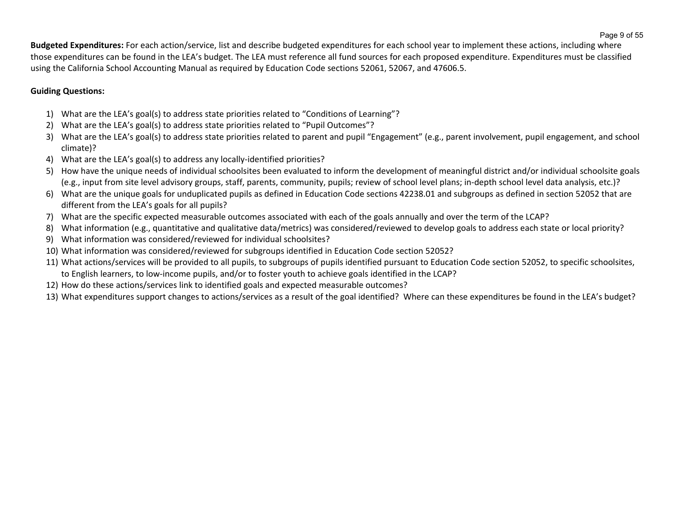**Budgeted Expenditures:** For each action/service, list and describe budgeted expenditures for each school year to implement these actions, including where those expenditures can be found in the LEA's budget. The LEA must reference all fund sources for each proposed expenditure. Expenditures must be classified using the California School Accounting Manual as required by Education Code sections 52061, 52067, and 47606.5.

# **Guiding Questions:**

- 1) What are the LEA's goal(s) to address state priorities related to "Conditions of Learning"?
- 2) What are the LEA's goal(s) to address state priorities related to "Pupil Outcomes"?
- 3) What are the LEA's goal(s) to address state priorities related to parent and pupil "Engagement" (e.g., parent involvement, pupil engagement, and school climate)?
- 4) What are the LEA's goal(s) to address any locally-identified priorities?
- 5) How have the unique needs of individual schoolsites been evaluated to inform the development of meaningful district and/or individual schoolsite goals (e.g., input from site level advisory groups, staff, parents, community, pupils; review of school level plans; in-depth school level data analysis, etc.)?
- 6) What are the unique goals for unduplicated pupils as defined in Education Code sections 42238.01 and subgroups as defined in section 52052 that are different from the LEA's goals for all pupils?
- 7) What are the specific expected measurable outcomes associated with each of the goals annually and over the term of the LCAP?
- 8) What information (e.g., quantitative and qualitative data/metrics) was considered/reviewed to develop goals to address each state or local priority?
- 9) What information was considered/reviewed for individual schoolsites?
- 10) What information was considered/reviewed for subgroups identified in Education Code section 52052?
- 11) What actions/services will be provided to all pupils, to subgroups of pupils identified pursuant to Education Code section 52052, to specific schoolsites, to English learners, to low-income pupils, and/or to foster youth to achieve goals identified in the LCAP?
- 12) How do these actions/services link to identified goals and expected measurable outcomes?
- 13) What expenditures support changes to actions/services as a result of the goal identified? Where can these expenditures be found in the LEA's budget?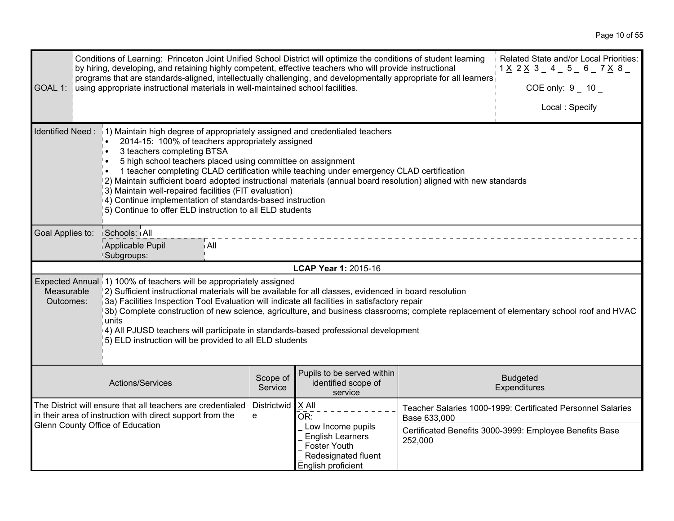|                                                                                                                                                                                                                                                                                                                                                                                                                                                                                                                                                                                                                                                   | Conditions of Learning: Princeton Joint Unified School District will optimize the conditions of student learning<br>by hiring, developing, and retaining highly competent, effective teachers who will provide instructional<br>programs that are standards-aligned, intellectually challenging, and developmentally appropriate for all learners<br>GOAL 1: lusing appropriate instructional materials in well-maintained school facilities.                                                                                                                                      | Related State and/or Local Priorities:<br>$1 \times 2 \times 3 = 4 = 5 = 6 = 7 \times 8 =$<br>COE only: $9 - 10 -$<br>Local: Specify |                                                                                                                              |                         |                                                                                                                        |  |
|---------------------------------------------------------------------------------------------------------------------------------------------------------------------------------------------------------------------------------------------------------------------------------------------------------------------------------------------------------------------------------------------------------------------------------------------------------------------------------------------------------------------------------------------------------------------------------------------------------------------------------------------------|------------------------------------------------------------------------------------------------------------------------------------------------------------------------------------------------------------------------------------------------------------------------------------------------------------------------------------------------------------------------------------------------------------------------------------------------------------------------------------------------------------------------------------------------------------------------------------|--------------------------------------------------------------------------------------------------------------------------------------|------------------------------------------------------------------------------------------------------------------------------|-------------------------|------------------------------------------------------------------------------------------------------------------------|--|
| Identified Need: 1) Maintain high degree of appropriately assigned and credentialed teachers<br>2014-15: 100% of teachers appropriately assigned<br>3 teachers completing BTSA<br>5 high school teachers placed using committee on assignment<br>1 teacher completing CLAD certification while teaching under emergency CLAD certification<br>2) Maintain sufficient board adopted instructional materials (annual board resolution) aligned with new standards<br>3) Maintain well-repaired facilities (FIT evaluation)<br>4) Continue implementation of standards-based instruction<br>5) Continue to offer ELD instruction to all ELD students |                                                                                                                                                                                                                                                                                                                                                                                                                                                                                                                                                                                    |                                                                                                                                      |                                                                                                                              |                         |                                                                                                                        |  |
| Goal Applies to:                                                                                                                                                                                                                                                                                                                                                                                                                                                                                                                                                                                                                                  | Schools: All<br>Applicable Pupil<br>i All<br>Subgroups:                                                                                                                                                                                                                                                                                                                                                                                                                                                                                                                            |                                                                                                                                      |                                                                                                                              |                         |                                                                                                                        |  |
|                                                                                                                                                                                                                                                                                                                                                                                                                                                                                                                                                                                                                                                   |                                                                                                                                                                                                                                                                                                                                                                                                                                                                                                                                                                                    |                                                                                                                                      | LCAP Year 1: 2015-16                                                                                                         |                         |                                                                                                                        |  |
| Measurable<br>Outcomes:                                                                                                                                                                                                                                                                                                                                                                                                                                                                                                                                                                                                                           | Expected Annual 1) 100% of teachers will be appropriately assigned<br>2) Sufficient instructional materials will be available for all classes, evidenced in board resolution<br>3a) Facilities Inspection Tool Evaluation will indicate all facilities in satisfactory repair<br>3b) Complete construction of new science, agriculture, and business classrooms; complete replacement of elementary school roof and HVAC<br>units<br>4) All PJUSD teachers will participate in standards-based professional development<br>5) ELD instruction will be provided to all ELD students |                                                                                                                                      |                                                                                                                              |                         |                                                                                                                        |  |
|                                                                                                                                                                                                                                                                                                                                                                                                                                                                                                                                                                                                                                                   | Pupils to be served within<br>Scope of<br><b>Budgeted</b><br>Actions/Services<br>identified scope of<br>Service<br>Expenditures<br>service                                                                                                                                                                                                                                                                                                                                                                                                                                         |                                                                                                                                      |                                                                                                                              |                         |                                                                                                                        |  |
| The District will ensure that all teachers are credentialed<br>in their area of instruction with direct support from the<br>Glenn County Office of Education                                                                                                                                                                                                                                                                                                                                                                                                                                                                                      |                                                                                                                                                                                                                                                                                                                                                                                                                                                                                                                                                                                    | Districtwid<br>e                                                                                                                     | $ X$ All<br>OR:<br>Low Income pupils<br><b>English Learners</b><br>Foster Youth<br>Redesignated fluent<br>English proficient | Base 633,000<br>252,000 | Teacher Salaries 1000-1999: Certificated Personnel Salaries<br>Certificated Benefits 3000-3999: Employee Benefits Base |  |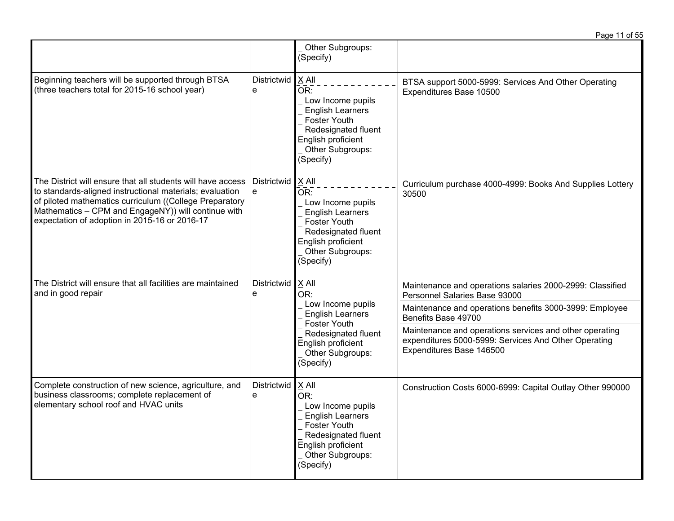|                                                                                                                                                                                                                                                                                            |                                                                            |                                                                                                                                                              | Page 11 of 55                                                                              |
|--------------------------------------------------------------------------------------------------------------------------------------------------------------------------------------------------------------------------------------------------------------------------------------------|----------------------------------------------------------------------------|--------------------------------------------------------------------------------------------------------------------------------------------------------------|--------------------------------------------------------------------------------------------|
|                                                                                                                                                                                                                                                                                            |                                                                            | Other Subgroups:<br>(Specify)                                                                                                                                |                                                                                            |
| Beginning teachers will be supported through BTSA<br>(three teachers total for 2015-16 school year)                                                                                                                                                                                        | Districtwid<br>e                                                           | X All<br>OR:<br>Low Income pupils<br><b>English Learners</b><br>Foster Youth<br>Redesignated fluent<br>English proficient<br>Other Subgroups:<br>(Specify)   | BTSA support 5000-5999: Services And Other Operating<br>Expenditures Base 10500            |
| The District will ensure that all students will have access<br>to standards-aligned instructional materials; evaluation<br>of piloted mathematics curriculum ((College Preparatory<br>Mathematics - CPM and EngageNY)) will continue with<br>expectation of adoption in 2015-16 or 2016-17 | Districtwid<br>e                                                           | $X$ All<br>OR:<br>Low Income pupils<br><b>English Learners</b><br>Foster Youth<br>Redesignated fluent<br>English proficient<br>Other Subgroups:<br>(Specify) | Curriculum purchase 4000-4999: Books And Supplies Lottery<br>30500                         |
| The District will ensure that all facilities are maintained<br>and in good repair                                                                                                                                                                                                          | Districtwid<br>e                                                           | $ X$ All<br>OR:                                                                                                                                              | Maintenance and operations salaries 2000-2999: Classified<br>Personnel Salaries Base 93000 |
|                                                                                                                                                                                                                                                                                            |                                                                            | Low Income pupils<br><b>English Learners</b><br>Foster Youth                                                                                                 | Maintenance and operations benefits 3000-3999: Employee<br>Benefits Base 49700             |
|                                                                                                                                                                                                                                                                                            | Redesignated fluent<br>English proficient<br>Other Subgroups:<br>(Specify) | Maintenance and operations services and other operating<br>expenditures 5000-5999: Services And Other Operating<br>Expenditures Base 146500                  |                                                                                            |
| Complete construction of new science, agriculture, and<br>business classrooms; complete replacement of<br>elementary school roof and HVAC units                                                                                                                                            | Districtwid<br>e                                                           | X All<br>OR:<br>Low Income pupils<br><b>English Learners</b><br>Foster Youth<br>Redesignated fluent<br>English proficient<br>Other Subgroups:<br>(Specify)   | Construction Costs 6000-6999: Capital Outlay Other 990000                                  |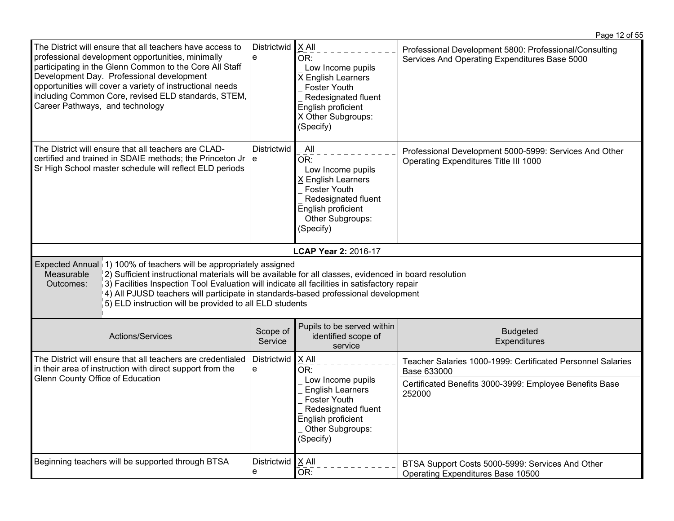| The District will ensure that all teachers have access to<br>professional development opportunities, minimally<br>participating in the Glenn Common to the Core All Staff<br>Development Day. Professional development<br>opportunities will cover a variety of instructional needs<br>including Common Core, revised ELD standards, STEM,<br>Career Pathways, and technology | Districtwid   X All<br>e                                                                                                                                                                                                                                                                                                                                                                                                      | OR:<br>Low Income pupils<br>X English Learners<br><b>Foster Youth</b><br>Redesignated fluent<br>English proficient<br>X Other Subgroups:<br>(Specify)                               | Professional Development 5800: Professional/Consulting<br>Services And Operating Expenditures Base 5000                                         |  |
|-------------------------------------------------------------------------------------------------------------------------------------------------------------------------------------------------------------------------------------------------------------------------------------------------------------------------------------------------------------------------------|-------------------------------------------------------------------------------------------------------------------------------------------------------------------------------------------------------------------------------------------------------------------------------------------------------------------------------------------------------------------------------------------------------------------------------|-------------------------------------------------------------------------------------------------------------------------------------------------------------------------------------|-------------------------------------------------------------------------------------------------------------------------------------------------|--|
| The District will ensure that all teachers are CLAD-<br>certified and trained in SDAIE methods; the Princeton Jr<br>Sr High School master schedule will reflect ELD periods                                                                                                                                                                                                   | Districtwid<br>e                                                                                                                                                                                                                                                                                                                                                                                                              | All<br>OR:<br>Low Income pupils<br>X English Learners<br>Foster Youth<br>Redesignated fluent<br>English proficient<br>Other Subgroups:<br>(Specify)                                 | Professional Development 5000-5999: Services And Other<br>Operating Expenditures Title III 1000                                                 |  |
|                                                                                                                                                                                                                                                                                                                                                                               |                                                                                                                                                                                                                                                                                                                                                                                                                               | LCAP Year 2: 2016-17                                                                                                                                                                |                                                                                                                                                 |  |
| Measurable<br>Outcomes:                                                                                                                                                                                                                                                                                                                                                       | Expected Annual 1) 100% of teachers will be appropriately assigned<br>2) Sufficient instructional materials will be available for all classes, evidenced in board resolution<br>3) Facilities Inspection Tool Evaluation will indicate all facilities in satisfactory repair<br>4) All PJUSD teachers will participate in standards-based professional development<br>5) ELD instruction will be provided to all ELD students |                                                                                                                                                                                     |                                                                                                                                                 |  |
| Actions/Services                                                                                                                                                                                                                                                                                                                                                              | Scope of<br>Service                                                                                                                                                                                                                                                                                                                                                                                                           | Pupils to be served within<br>identified scope of<br>service                                                                                                                        | <b>Budgeted</b><br>Expenditures                                                                                                                 |  |
| The District will ensure that all teachers are credentialed<br>in their area of instruction with direct support from the<br>Glenn County Office of Education                                                                                                                                                                                                                  | Districtwid<br>e                                                                                                                                                                                                                                                                                                                                                                                                              | $X$ All<br>$\overline{\mathsf{OR}}$ :<br>Low Income pupils<br><b>English Learners</b><br>Foster Youth<br>Redesignated fluent<br>English proficient<br>Other Subgroups:<br>(Specify) | Teacher Salaries 1000-1999: Certificated Personnel Salaries<br>Base 633000<br>Certificated Benefits 3000-3999: Employee Benefits Base<br>252000 |  |
| Beginning teachers will be supported through BTSA                                                                                                                                                                                                                                                                                                                             | Districtwid<br>е                                                                                                                                                                                                                                                                                                                                                                                                              | X All<br>OR:                                                                                                                                                                        | BTSA Support Costs 5000-5999: Services And Other<br>Operating Expenditures Base 10500                                                           |  |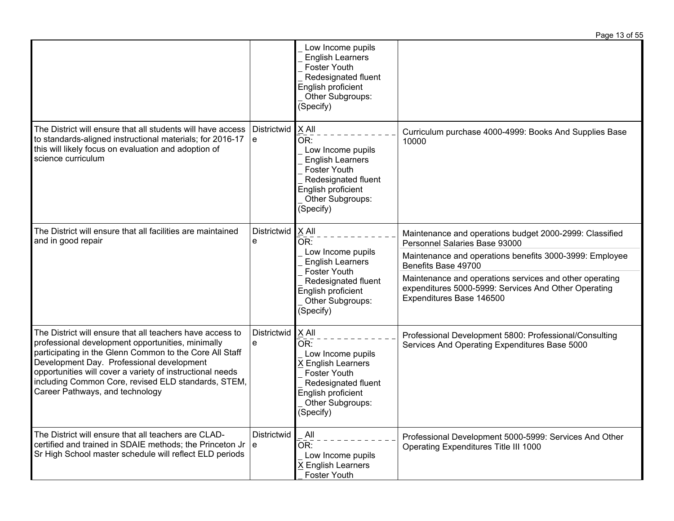|                                                                                                                                                                                                                                                                                                                                                                               |                          |                                                                                                                                                                   | Page 13 of 55                                                                                                                                                              |
|-------------------------------------------------------------------------------------------------------------------------------------------------------------------------------------------------------------------------------------------------------------------------------------------------------------------------------------------------------------------------------|--------------------------|-------------------------------------------------------------------------------------------------------------------------------------------------------------------|----------------------------------------------------------------------------------------------------------------------------------------------------------------------------|
|                                                                                                                                                                                                                                                                                                                                                                               |                          | Low Income pupils<br><b>English Learners</b><br><b>Foster Youth</b><br>Redesignated fluent<br>English proficient<br>Other Subgroups:<br>(Specify)                 |                                                                                                                                                                            |
| The District will ensure that all students will have access<br>to standards-aligned instructional materials; for 2016-17<br>this will likely focus on evaluation and adoption of<br>science curriculum                                                                                                                                                                        | Districtwid<br>e         | X All<br>OR:<br>Low Income pupils<br><b>English Learners</b><br><b>Foster Youth</b><br>Redesignated fluent<br>English proficient<br>Other Subgroups:<br>(Specify) | Curriculum purchase 4000-4999: Books And Supplies Base<br>10000                                                                                                            |
| The District will ensure that all facilities are maintained<br>and in good repair                                                                                                                                                                                                                                                                                             | Districtwid<br>e         | X All<br>OR:<br>Low Income pupils<br><b>English Learners</b><br><b>Foster Youth</b><br>Redesignated fluent<br>English proficient<br>Other Subgroups:<br>(Specify) | Maintenance and operations budget 2000-2999: Classified<br>Personnel Salaries Base 93000<br>Maintenance and operations benefits 3000-3999: Employee<br>Benefits Base 49700 |
|                                                                                                                                                                                                                                                                                                                                                                               |                          |                                                                                                                                                                   | Maintenance and operations services and other operating<br>expenditures 5000-5999: Services And Other Operating<br>Expenditures Base 146500                                |
| The District will ensure that all teachers have access to<br>professional development opportunities, minimally<br>participating in the Glenn Common to the Core All Staff<br>Development Day. Professional development<br>opportunities will cover a variety of instructional needs<br>including Common Core, revised ELD standards, STEM,<br>Career Pathways, and technology | Districtwid<br>e         | X All<br>OR:<br>Low Income pupils<br>X English Learners<br><b>Foster Youth</b><br>Redesignated fluent<br>English proficient<br>Other Subgroups:<br>(Specify)      | Professional Development 5800: Professional/Consulting<br>Services And Operating Expenditures Base 5000                                                                    |
| The District will ensure that all teachers are CLAD-<br>certified and trained in SDAIE methods; the Princeton Jr<br>Sr High School master schedule will reflect ELD periods                                                                                                                                                                                                   | <b>Districtwid</b><br>∣e | All<br>OR:<br>Low Income pupils<br>X English Learners<br>Foster Youth                                                                                             | Professional Development 5000-5999: Services And Other<br>Operating Expenditures Title III 1000                                                                            |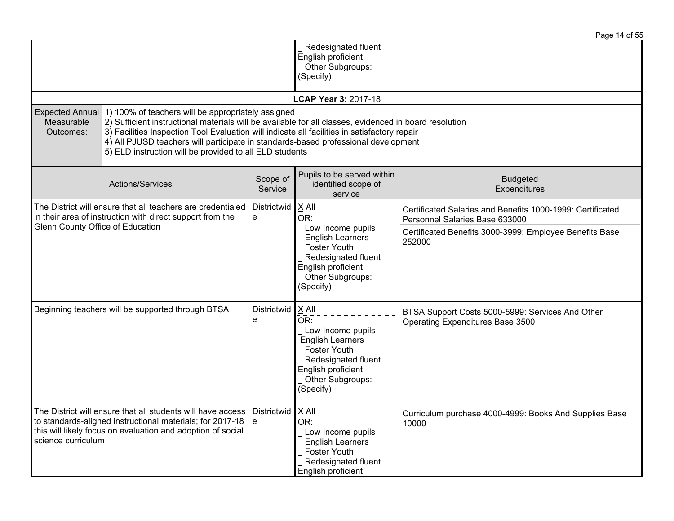|                                                                                                                                                                                                                                                                                                                                                                                                                                                          |                                                                                                                                                                                                             |                     |                                                                                                                                                                   | Page 14 of 55                                                                                                                                                     |
|----------------------------------------------------------------------------------------------------------------------------------------------------------------------------------------------------------------------------------------------------------------------------------------------------------------------------------------------------------------------------------------------------------------------------------------------------------|-------------------------------------------------------------------------------------------------------------------------------------------------------------------------------------------------------------|---------------------|-------------------------------------------------------------------------------------------------------------------------------------------------------------------|-------------------------------------------------------------------------------------------------------------------------------------------------------------------|
|                                                                                                                                                                                                                                                                                                                                                                                                                                                          |                                                                                                                                                                                                             |                     | Redesignated fluent<br>English proficient<br>Other Subgroups:<br>(Specify)                                                                                        |                                                                                                                                                                   |
|                                                                                                                                                                                                                                                                                                                                                                                                                                                          |                                                                                                                                                                                                             |                     | LCAP Year 3: 2017-18                                                                                                                                              |                                                                                                                                                                   |
| Expected Annual 1) 100% of teachers will be appropriately assigned<br>2) Sufficient instructional materials will be available for all classes, evidenced in board resolution<br>Measurable<br>3) Facilities Inspection Tool Evaluation will indicate all facilities in satisfactory repair<br>Outcomes:<br>4) All PJUSD teachers will participate in standards-based professional development<br>5) ELD instruction will be provided to all ELD students |                                                                                                                                                                                                             |                     |                                                                                                                                                                   |                                                                                                                                                                   |
|                                                                                                                                                                                                                                                                                                                                                                                                                                                          | Actions/Services                                                                                                                                                                                            | Scope of<br>Service | Pupils to be served within<br>identified scope of<br>service                                                                                                      | <b>Budgeted</b><br>Expenditures                                                                                                                                   |
| Glenn County Office of Education                                                                                                                                                                                                                                                                                                                                                                                                                         | The District will ensure that all teachers are credentialed<br>in their area of instruction with direct support from the                                                                                    | Districtwid<br>e    | X All<br>OR:<br>Low Income pupils<br><b>English Learners</b><br><b>Foster Youth</b><br>Redesignated fluent<br>English proficient<br>Other Subgroups:<br>(Specify) | Certificated Salaries and Benefits 1000-1999: Certificated<br>Personnel Salaries Base 633000<br>Certificated Benefits 3000-3999: Employee Benefits Base<br>252000 |
| Beginning teachers will be supported through BTSA                                                                                                                                                                                                                                                                                                                                                                                                        |                                                                                                                                                                                                             | Districtwid<br>e    | $X$ All<br>OR:<br>Low Income pupils<br><b>English Learners</b><br>Foster Youth<br>Redesignated fluent<br>English proficient<br>Other Subgroups:<br>(Specify)      | BTSA Support Costs 5000-5999: Services And Other<br>Operating Expenditures Base 3500                                                                              |
| science curriculum                                                                                                                                                                                                                                                                                                                                                                                                                                       | The District will ensure that all students will have access Districtwid $X$ All<br>to standards-aligned instructional materials; for 2017-18<br>this will likely focus on evaluation and adoption of social | ∣e                  | OR:<br>Low Income pupils<br><b>English Learners</b><br>Foster Youth<br>Redesignated fluent<br>English proficient                                                  | Curriculum purchase 4000-4999: Books And Supplies Base<br>10000                                                                                                   |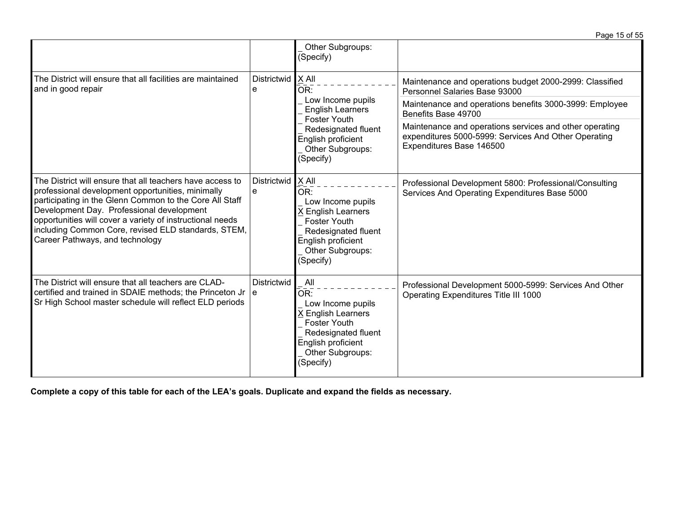|                                                                                                                                                                                                                                                                                                                                                                               |                          |                                                                                                                                                              | Page 15 of 55                                                                                                                               |
|-------------------------------------------------------------------------------------------------------------------------------------------------------------------------------------------------------------------------------------------------------------------------------------------------------------------------------------------------------------------------------|--------------------------|--------------------------------------------------------------------------------------------------------------------------------------------------------------|---------------------------------------------------------------------------------------------------------------------------------------------|
|                                                                                                                                                                                                                                                                                                                                                                               |                          | Other Subgroups:<br>(Specify)                                                                                                                                |                                                                                                                                             |
| The District will ensure that all facilities are maintained<br>and in good repair                                                                                                                                                                                                                                                                                             | Districtwid<br>e         | X All<br>OR:                                                                                                                                                 | Maintenance and operations budget 2000-2999: Classified<br>Personnel Salaries Base 93000                                                    |
|                                                                                                                                                                                                                                                                                                                                                                               |                          | Low Income pupils<br><b>English Learners</b><br><b>Foster Youth</b>                                                                                          | Maintenance and operations benefits 3000-3999: Employee<br>Benefits Base 49700                                                              |
|                                                                                                                                                                                                                                                                                                                                                                               |                          | Redesignated fluent<br>English proficient<br>Other Subgroups:<br>(Specify)                                                                                   | Maintenance and operations services and other operating<br>expenditures 5000-5999: Services And Other Operating<br>Expenditures Base 146500 |
| The District will ensure that all teachers have access to<br>professional development opportunities, minimally<br>participating in the Glenn Common to the Core All Staff<br>Development Day. Professional development<br>opportunities will cover a variety of instructional needs<br>including Common Core, revised ELD standards, STEM,<br>Career Pathways, and technology | Districtwid<br>e         | X All<br>OR:<br>Low Income pupils<br>X English Learners<br><b>Foster Youth</b><br>Redesignated fluent<br>English proficient<br>Other Subgroups:<br>(Specify) | Professional Development 5800: Professional/Consulting<br>Services And Operating Expenditures Base 5000                                     |
| The District will ensure that all teachers are CLAD-<br>certified and trained in SDAIE methods; the Princeton Jr<br>Sr High School master schedule will reflect ELD periods                                                                                                                                                                                                   | <b>Districtwid</b><br>le | All<br>OR:<br>Low Income pupils<br>X English Learners<br><b>Foster Youth</b><br>Redesignated fluent<br>English proficient<br>Other Subgroups:<br>(Specify)   | Professional Development 5000-5999: Services And Other<br>Operating Expenditures Title III 1000                                             |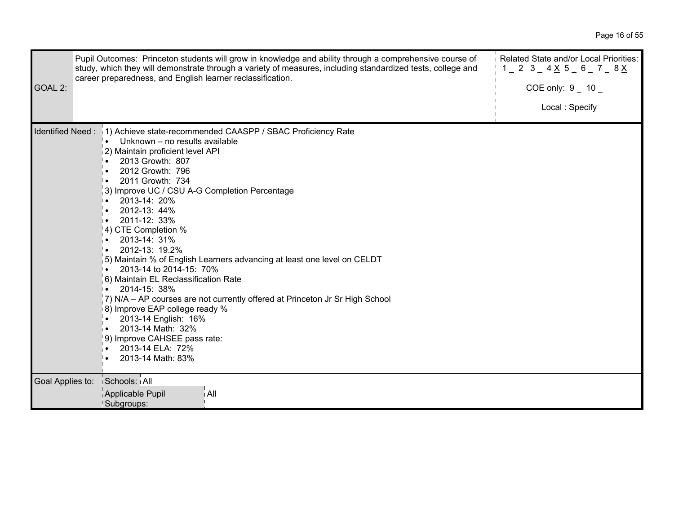|                  | Pupil Outcomes: Princeton students will grow in knowledge and ability through a comprehensive course of<br>study, which they will demonstrate through a variety of measures, including standardized tests, college and<br>career preparedness, and English learner reclassification.                                                                                                                                                                                                                                                                                                                                                                                                                                                                          | Related State and/or Local Priorities:<br>$1 = 2$ 3 $= 4 \times 5 = 6 = 7 = 8 \times 10$ |
|------------------|---------------------------------------------------------------------------------------------------------------------------------------------------------------------------------------------------------------------------------------------------------------------------------------------------------------------------------------------------------------------------------------------------------------------------------------------------------------------------------------------------------------------------------------------------------------------------------------------------------------------------------------------------------------------------------------------------------------------------------------------------------------|------------------------------------------------------------------------------------------|
| GOAL 2:          |                                                                                                                                                                                                                                                                                                                                                                                                                                                                                                                                                                                                                                                                                                                                                               | $COE$ only: $9$ 10                                                                       |
|                  |                                                                                                                                                                                                                                                                                                                                                                                                                                                                                                                                                                                                                                                                                                                                                               | Local: Specify                                                                           |
| Identified Need: | 1) Achieve state-recommended CAASPP / SBAC Proficiency Rate<br>Unknown - no results available<br>2) Maintain proficient level API<br>2013 Growth: 807<br>2012 Growth: 796<br>2011 Growth: 734<br>3) Improve UC / CSU A-G Completion Percentage<br>2013-14: 20%<br>2012-13: 44%<br>2011-12: 33%<br>4) CTE Completion %<br>2013-14: 31%<br>2012-13: 19.2%<br>5) Maintain % of English Learners advancing at least one level on CELDT<br>2013-14 to 2014-15: 70%<br>6) Maintain EL Reclassification Rate<br>2014-15: 38%<br>7) N/A - AP courses are not currently offered at Princeton Jr Sr High School<br>8) Improve EAP college ready %<br>2013-14 English: 16%<br>2013-14 Math: 32%<br>9) Improve CAHSEE pass rate:<br>2013-14 ELA: 72%<br>2013-14 Math: 83% |                                                                                          |
| Goal Applies to: | Schools: All                                                                                                                                                                                                                                                                                                                                                                                                                                                                                                                                                                                                                                                                                                                                                  |                                                                                          |
|                  | i All<br>Applicable Pupil<br>Subgroups:                                                                                                                                                                                                                                                                                                                                                                                                                                                                                                                                                                                                                                                                                                                       |                                                                                          |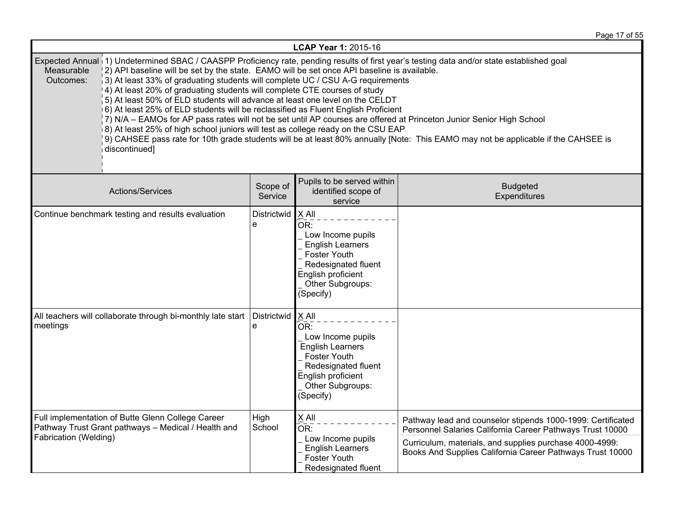Page 17 of 55

| LCAP Year 1: 2015-16                                                                                                                                                                                                                                                                                                                                                                                                                                                                                                                                                                                                                                                                                                                                                                                                                                                                                                                                                       |                     |                                                                                                                                                                                     |                                                                                                                                                                                                                                                  |
|----------------------------------------------------------------------------------------------------------------------------------------------------------------------------------------------------------------------------------------------------------------------------------------------------------------------------------------------------------------------------------------------------------------------------------------------------------------------------------------------------------------------------------------------------------------------------------------------------------------------------------------------------------------------------------------------------------------------------------------------------------------------------------------------------------------------------------------------------------------------------------------------------------------------------------------------------------------------------|---------------------|-------------------------------------------------------------------------------------------------------------------------------------------------------------------------------------|--------------------------------------------------------------------------------------------------------------------------------------------------------------------------------------------------------------------------------------------------|
| Expected Annual (1) Undetermined SBAC / CAASPP Proficiency rate, pending results of first year's testing data and/or state established goal<br>Measurable<br>2) API baseline will be set by the state. EAMO will be set once API baseline is available.<br>Outcomes:<br>3) At least 33% of graduating students will complete UC / CSU A-G requirements<br>4) At least 20% of graduating students will complete CTE courses of study<br>5) At least 50% of ELD students will advance at least one level on the CELDT<br>6) At least 25% of ELD students will be reclassified as Fluent English Proficient<br>7) N/A - EAMOs for AP pass rates will not be set until AP courses are offered at Princeton Junior Senior High School<br>8) At least 25% of high school juniors will test as college ready on the CSU EAP<br>9) CAHSEE pass rate for 10th grade students will be at least 80% annually [Note: This EAMO may not be applicable if the CAHSEE is<br>discontinued] |                     |                                                                                                                                                                                     |                                                                                                                                                                                                                                                  |
| <b>Actions/Services</b>                                                                                                                                                                                                                                                                                                                                                                                                                                                                                                                                                                                                                                                                                                                                                                                                                                                                                                                                                    | Scope of<br>Service | Pupils to be served within<br>identified scope of<br>service                                                                                                                        | <b>Budgeted</b><br>Expenditures                                                                                                                                                                                                                  |
| Continue benchmark testing and results evaluation                                                                                                                                                                                                                                                                                                                                                                                                                                                                                                                                                                                                                                                                                                                                                                                                                                                                                                                          | Districtwid<br>e    | $X$ All<br>$\overline{\mathsf{OR}}$ :<br>Low Income pupils<br><b>English Learners</b><br>Foster Youth<br>Redesignated fluent<br>English proficient<br>Other Subgroups:<br>(Specify) |                                                                                                                                                                                                                                                  |
| All teachers will collaborate through bi-monthly late start<br>meetings                                                                                                                                                                                                                                                                                                                                                                                                                                                                                                                                                                                                                                                                                                                                                                                                                                                                                                    | Districtwid<br>e    | $X$ All<br>OR:<br>Low Income pupils<br><b>English Learners</b><br><b>Foster Youth</b><br>Redesignated fluent<br>English proficient<br>Other Subgroups:<br>(Specify)                 |                                                                                                                                                                                                                                                  |
| Full implementation of Butte Glenn College Career<br>Pathway Trust Grant pathways - Medical / Health and<br>Fabrication (Welding)                                                                                                                                                                                                                                                                                                                                                                                                                                                                                                                                                                                                                                                                                                                                                                                                                                          | High<br>School      | $\underline{X}$ All<br>OR:<br>Low Income pupils<br><b>English Learners</b><br><b>Foster Youth</b><br>Redesignated fluent                                                            | Pathway lead and counselor stipends 1000-1999: Certificated<br>Personnel Salaries California Career Pathways Trust 10000<br>Curriculum, materials, and supplies purchase 4000-4999:<br>Books And Supplies California Career Pathways Trust 10000 |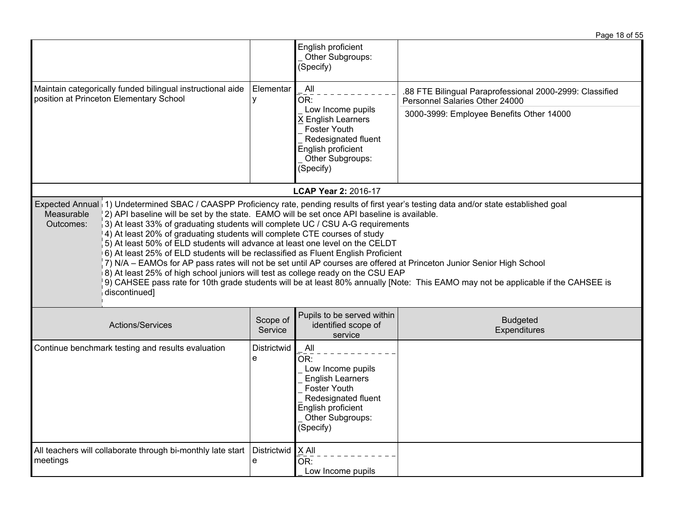|                                                                                                                                                                                                                                                                                                                                                                                                                                                                                                                                                                                                                                                                                                                                                                                                                                                                                                                                                                              |                     |                                                                                                                                                          | Page 18 of 55                                                                              |
|------------------------------------------------------------------------------------------------------------------------------------------------------------------------------------------------------------------------------------------------------------------------------------------------------------------------------------------------------------------------------------------------------------------------------------------------------------------------------------------------------------------------------------------------------------------------------------------------------------------------------------------------------------------------------------------------------------------------------------------------------------------------------------------------------------------------------------------------------------------------------------------------------------------------------------------------------------------------------|---------------------|----------------------------------------------------------------------------------------------------------------------------------------------------------|--------------------------------------------------------------------------------------------|
|                                                                                                                                                                                                                                                                                                                                                                                                                                                                                                                                                                                                                                                                                                                                                                                                                                                                                                                                                                              |                     | English proficient<br>Other Subgroups:<br>(Specify)                                                                                                      |                                                                                            |
| Maintain categorically funded bilingual instructional aide<br>Elementar<br>position at Princeton Elementary School<br>y                                                                                                                                                                                                                                                                                                                                                                                                                                                                                                                                                                                                                                                                                                                                                                                                                                                      |                     | All<br>OR:                                                                                                                                               | .88 FTE Bilingual Paraprofessional 2000-2999: Classified<br>Personnel Salaries Other 24000 |
|                                                                                                                                                                                                                                                                                                                                                                                                                                                                                                                                                                                                                                                                                                                                                                                                                                                                                                                                                                              |                     | Low Income pupils<br>X English Learners<br><b>Foster Youth</b><br>Redesignated fluent<br>English proficient<br>Other Subgroups:<br>(Specify)             | 3000-3999: Employee Benefits Other 14000                                                   |
|                                                                                                                                                                                                                                                                                                                                                                                                                                                                                                                                                                                                                                                                                                                                                                                                                                                                                                                                                                              |                     | LCAP Year 2: 2016-17                                                                                                                                     |                                                                                            |
| Expected Annual (1) Undetermined SBAC / CAASPP Proficiency rate, pending results of first year's testing data and/or state established goal<br>(2) API baseline will be set by the state. EAMO will be set once API baseline is available.<br>Measurable<br>3) At least 33% of graduating students will complete UC / CSU A-G requirements<br>Outcomes:<br>4) At least 20% of graduating students will complete CTE courses of study<br>5) At least 50% of ELD students will advance at least one level on the CELDT<br>6) At least 25% of ELD students will be reclassified as Fluent English Proficient<br>7) N/A - EAMOs for AP pass rates will not be set until AP courses are offered at Princeton Junior Senior High School<br>[8] At least 25% of high school juniors will test as college ready on the CSU EAP<br>9) CAHSEE pass rate for 10th grade students will be at least 80% annually [Note: This EAMO may not be applicable if the CAHSEE is<br>discontinued] |                     |                                                                                                                                                          |                                                                                            |
| Actions/Services                                                                                                                                                                                                                                                                                                                                                                                                                                                                                                                                                                                                                                                                                                                                                                                                                                                                                                                                                             | Scope of<br>Service | Pupils to be served within<br>identified scope of<br>service                                                                                             | <b>Budgeted</b><br>Expenditures                                                            |
| Continue benchmark testing and results evaluation                                                                                                                                                                                                                                                                                                                                                                                                                                                                                                                                                                                                                                                                                                                                                                                                                                                                                                                            | Districtwid<br>е    | All<br>OR:<br>Low Income pupils<br><b>English Learners</b><br>Foster Youth<br>Redesignated fluent<br>English proficient<br>Other Subgroups:<br>(Specify) |                                                                                            |
| All teachers will collaborate through bi-monthly late start<br>meetings                                                                                                                                                                                                                                                                                                                                                                                                                                                                                                                                                                                                                                                                                                                                                                                                                                                                                                      | Districtwid<br>е    | $X$ All<br>OR:<br>Low Income pupils                                                                                                                      |                                                                                            |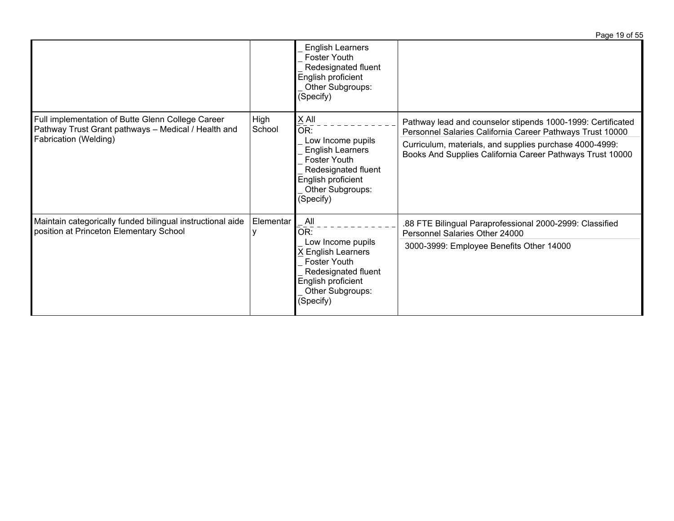|                                                                                                          |                |                                                                                                                                                   | Page 19 of 55                                                                                                            |
|----------------------------------------------------------------------------------------------------------|----------------|---------------------------------------------------------------------------------------------------------------------------------------------------|--------------------------------------------------------------------------------------------------------------------------|
|                                                                                                          |                | <b>English Learners</b><br>Foster Youth<br>Redesignated fluent<br>English proficient<br>Other Subgroups:<br>(Specify)                             |                                                                                                                          |
| Full implementation of Butte Glenn College Career<br>Pathway Trust Grant pathways - Medical / Health and | High<br>School | IIA X<br>OR:                                                                                                                                      | Pathway lead and counselor stipends 1000-1999: Certificated<br>Personnel Salaries California Career Pathways Trust 10000 |
| Fabrication (Welding)                                                                                    |                | Low Income pupils<br><b>English Learners</b><br><b>Foster Youth</b><br>Redesignated fluent<br>English proficient<br>Other Subgroups:<br>(Specify) | Curriculum, materials, and supplies purchase 4000-4999:<br>Books And Supplies California Career Pathways Trust 10000     |
| Maintain categorically funded bilingual instructional aide<br>position at Princeton Elementary School    | Elementar      | All<br>OR:                                                                                                                                        | .88 FTE Bilingual Paraprofessional 2000-2999: Classified<br>Personnel Salaries Other 24000                               |
|                                                                                                          |                | Low Income pupils<br>X English Learners<br>Foster Youth<br>Redesignated fluent<br>English proficient<br>Other Subgroups:<br>(Specify)             | 3000-3999: Employee Benefits Other 14000                                                                                 |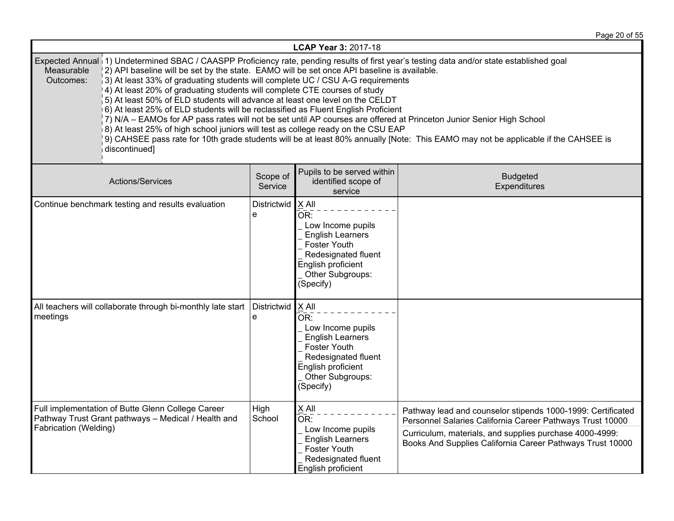Page 20 of 55

| LCAP Year 3: 2017-18                                                                                                                                                                                                                                                                                                                                                                                                                                                                                                                                                                                                                                                                                                                                                                                                                                                                                                                                                       |                     |                                                                                                                                                                     |                                                                                                                                                                                                                                                  |  |
|----------------------------------------------------------------------------------------------------------------------------------------------------------------------------------------------------------------------------------------------------------------------------------------------------------------------------------------------------------------------------------------------------------------------------------------------------------------------------------------------------------------------------------------------------------------------------------------------------------------------------------------------------------------------------------------------------------------------------------------------------------------------------------------------------------------------------------------------------------------------------------------------------------------------------------------------------------------------------|---------------------|---------------------------------------------------------------------------------------------------------------------------------------------------------------------|--------------------------------------------------------------------------------------------------------------------------------------------------------------------------------------------------------------------------------------------------|--|
| Expected Annual (1) Undetermined SBAC / CAASPP Proficiency rate, pending results of first year's testing data and/or state established goal<br>Measurable<br>2) API baseline will be set by the state. EAMO will be set once API baseline is available.<br>Outcomes:<br>3) At least 33% of graduating students will complete UC / CSU A-G requirements<br>4) At least 20% of graduating students will complete CTE courses of study<br>5) At least 50% of ELD students will advance at least one level on the CELDT<br>6) At least 25% of ELD students will be reclassified as Fluent English Proficient<br>7) N/A - EAMOs for AP pass rates will not be set until AP courses are offered at Princeton Junior Senior High School<br>8) At least 25% of high school juniors will test as college ready on the CSU EAP<br>9) CAHSEE pass rate for 10th grade students will be at least 80% annually [Note: This EAMO may not be applicable if the CAHSEE is<br>discontinued] |                     |                                                                                                                                                                     |                                                                                                                                                                                                                                                  |  |
| <b>Actions/Services</b>                                                                                                                                                                                                                                                                                                                                                                                                                                                                                                                                                                                                                                                                                                                                                                                                                                                                                                                                                    | Scope of<br>Service | Pupils to be served within<br>identified scope of<br>service                                                                                                        | <b>Budgeted</b><br>Expenditures                                                                                                                                                                                                                  |  |
| Continue benchmark testing and results evaluation                                                                                                                                                                                                                                                                                                                                                                                                                                                                                                                                                                                                                                                                                                                                                                                                                                                                                                                          | Districtwid<br>e    | <b>XAII</b><br>OR:<br>Low Income pupils<br><b>English Learners</b><br>Foster Youth<br>Redesignated fluent<br>English proficient<br>Other Subgroups:<br>(Specify)    |                                                                                                                                                                                                                                                  |  |
| All teachers will collaborate through bi-monthly late start<br>meetings                                                                                                                                                                                                                                                                                                                                                                                                                                                                                                                                                                                                                                                                                                                                                                                                                                                                                                    | Districtwid<br>e    | $X$ All<br>OR:<br>Low Income pupils<br><b>English Learners</b><br><b>Foster Youth</b><br>Redesignated fluent<br>English proficient<br>Other Subgroups:<br>(Specify) |                                                                                                                                                                                                                                                  |  |
| Full implementation of Butte Glenn College Career<br>Pathway Trust Grant pathways - Medical / Health and<br>Fabrication (Welding)                                                                                                                                                                                                                                                                                                                                                                                                                                                                                                                                                                                                                                                                                                                                                                                                                                          | High<br>School      | X All<br>OR:<br>Low Income pupils<br><b>English Learners</b><br>Foster Youth<br>Redesignated fluent<br>English proficient                                           | Pathway lead and counselor stipends 1000-1999: Certificated<br>Personnel Salaries California Career Pathways Trust 10000<br>Curriculum, materials, and supplies purchase 4000-4999:<br>Books And Supplies California Career Pathways Trust 10000 |  |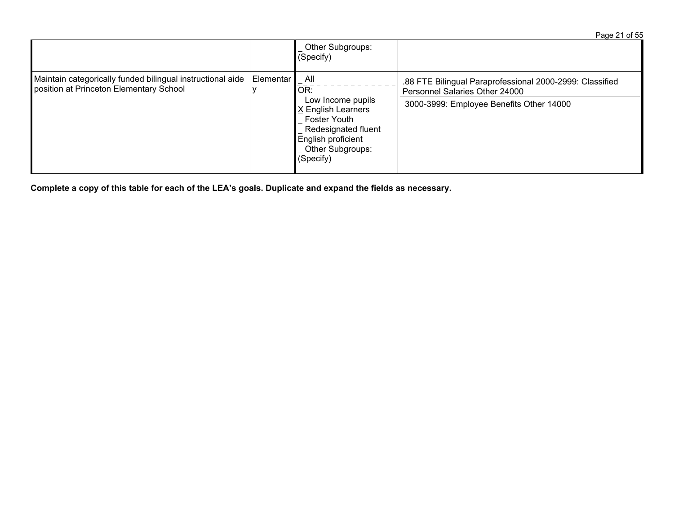|                                                                                                       |           |                                                                                                                                                         | Page 21 of 55                                                                                                                          |
|-------------------------------------------------------------------------------------------------------|-----------|---------------------------------------------------------------------------------------------------------------------------------------------------------|----------------------------------------------------------------------------------------------------------------------------------------|
|                                                                                                       |           | Other Subgroups:<br>(Specify)                                                                                                                           |                                                                                                                                        |
| Maintain categorically funded bilingual instructional aide<br>position at Princeton Elementary School | Elementar | $-$ All<br>OR:<br>Low Income pupils<br>X English Learners<br>Foster Youth<br>Redesignated fluent<br>English proficient<br>Other Subgroups:<br>(Specify) | .88 FTE Bilingual Paraprofessional 2000-2999: Classified<br>Personnel Salaries Other 24000<br>3000-3999: Employee Benefits Other 14000 |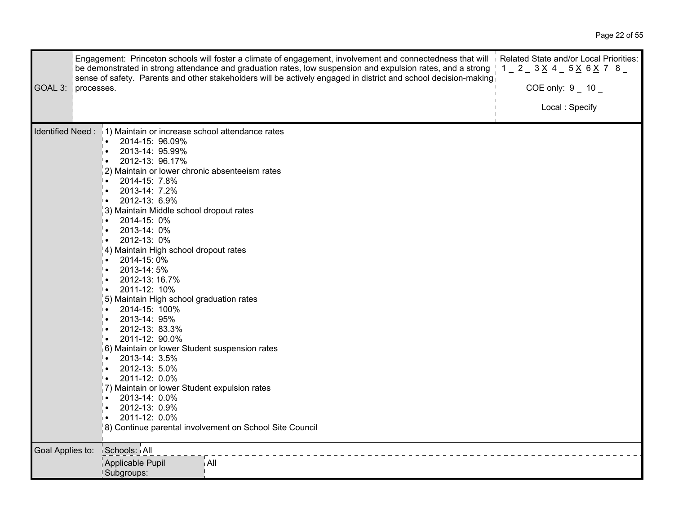| GOAL 3:          | Engagement: Princeton schools will foster a climate of engagement, involvement and connectedness that will Related State and/or Local Priorities:<br>be demonstrated in strong attendance and graduation rates, low suspension and expulsion rates, and a strong I<br>sense of safety. Parents and other stakeholders will be actively engaged in district and school decision-making<br>processes.                                                                                                                                                                                                                                                                                                                                                                                                                                                                                        | $1 - 2 - 3 \times 4 - 5 \times 6 \times 7$ 8<br>COE only: $9 - 10$<br>Local: Specify |  |
|------------------|--------------------------------------------------------------------------------------------------------------------------------------------------------------------------------------------------------------------------------------------------------------------------------------------------------------------------------------------------------------------------------------------------------------------------------------------------------------------------------------------------------------------------------------------------------------------------------------------------------------------------------------------------------------------------------------------------------------------------------------------------------------------------------------------------------------------------------------------------------------------------------------------|--------------------------------------------------------------------------------------|--|
|                  | Identified Need: 1) Maintain or increase school attendance rates<br>2014-15: 96.09%<br>$\bullet$<br>2013-14: 95.99%<br>2012-13: 96.17%<br>2) Maintain or lower chronic absenteeism rates<br>2014-15: 7.8%<br>╹∙<br>2013-14: 7.2%<br>2012-13: 6.9%<br>$\blacksquare$<br>3) Maintain Middle school dropout rates<br>2014-15: 0%<br>2013-14: 0%<br>2012-13: 0%<br>4) Maintain High school dropout rates<br>2014-15:0%<br>$\bullet$<br>2013-14:5%<br>2012-13: 16.7%<br>2011-12: 10%<br>∣∙<br>5) Maintain High school graduation rates<br>2014-15: 100%<br>2013-14: 95%<br>2012-13: 83.3%<br>⊩∙<br>2011-12: 90.0%<br>6) Maintain or lower Student suspension rates<br>2013-14: 3.5%<br>2012-13: 5.0%<br>2011-12: 0.0%<br>╹∙<br>7) Maintain or lower Student expulsion rates<br>2013-14: 0.0%<br>∣•<br>2012-13: 0.9%<br>2011-12: 0.0%<br>8) Continue parental involvement on School Site Council |                                                                                      |  |
| Goal Applies to: | Schools: All<br>Applicable Pupil<br>i All<br>Subgroups:                                                                                                                                                                                                                                                                                                                                                                                                                                                                                                                                                                                                                                                                                                                                                                                                                                    |                                                                                      |  |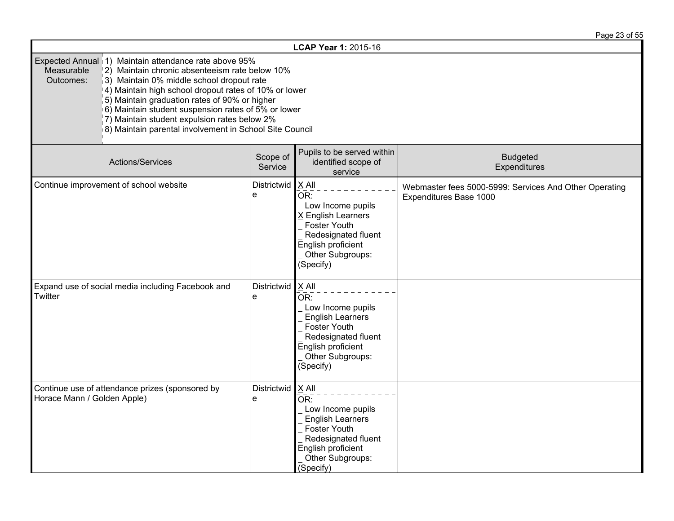|                                                                                                                                                                                                                                                                                                                                                                                                                                                                     |                     |                                                                                                                                                                                     | Page 23 of 55                                                                    |
|---------------------------------------------------------------------------------------------------------------------------------------------------------------------------------------------------------------------------------------------------------------------------------------------------------------------------------------------------------------------------------------------------------------------------------------------------------------------|---------------------|-------------------------------------------------------------------------------------------------------------------------------------------------------------------------------------|----------------------------------------------------------------------------------|
|                                                                                                                                                                                                                                                                                                                                                                                                                                                                     |                     | LCAP Year 1: 2015-16                                                                                                                                                                |                                                                                  |
| Expected Annual 1) Maintain attendance rate above 95%<br>Measurable<br>2) Maintain chronic absenteeism rate below 10%<br>Outcomes:<br>3) Maintain 0% middle school dropout rate<br>4) Maintain high school dropout rates of 10% or lower<br>5) Maintain graduation rates of 90% or higher<br>6) Maintain student suspension rates of 5% or lower<br>$\vert$ 7) Maintain student expulsion rates below 2%<br>8) Maintain parental involvement in School Site Council |                     |                                                                                                                                                                                     |                                                                                  |
| Actions/Services                                                                                                                                                                                                                                                                                                                                                                                                                                                    | Scope of<br>Service | Pupils to be served within<br>identified scope of<br>service                                                                                                                        | <b>Budgeted</b><br>Expenditures                                                  |
| Continue improvement of school website                                                                                                                                                                                                                                                                                                                                                                                                                              | Districtwid<br>e    | $X$ All<br>OR:<br>Low Income pupils<br>X English Learners<br>Foster Youth<br>Redesignated fluent<br>English proficient<br>Other Subgroups:<br>(Specify)                             | Webmaster fees 5000-5999: Services And Other Operating<br>Expenditures Base 1000 |
| Expand use of social media including Facebook and<br>Twitter                                                                                                                                                                                                                                                                                                                                                                                                        | Districtwid<br>e    | $X$ All<br>OR:<br>Low Income pupils<br><b>English Learners</b><br>Foster Youth<br>Redesignated fluent<br>English proficient<br>Other Subgroups:<br>(Specify)                        |                                                                                  |
| Continue use of attendance prizes (sponsored by<br>Horace Mann / Golden Apple)                                                                                                                                                                                                                                                                                                                                                                                      | Districtwid<br>e    | $X$ All<br>$\overline{\mathsf{OR}}$ :<br>Low Income pupils<br><b>English Learners</b><br>Foster Youth<br>Redesignated fluent<br>English proficient<br>Other Subgroups:<br>(Specify) |                                                                                  |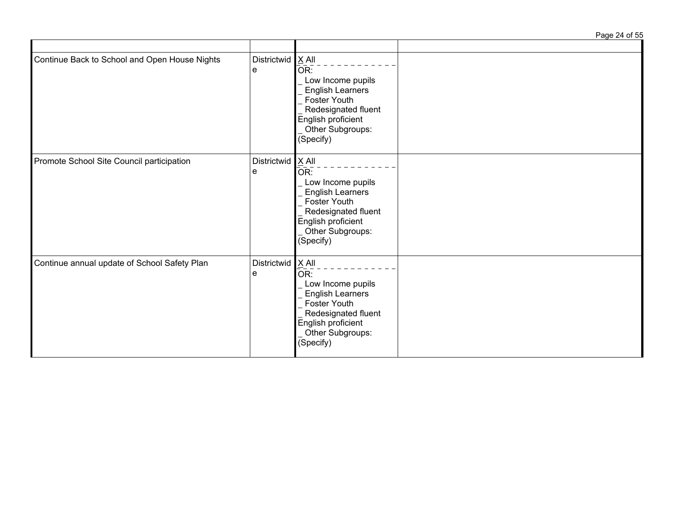| Page 24 of 55 |  |  |
|---------------|--|--|
|               |  |  |

| Continue Back to School and Open House Nights | Districtwid<br>e         | $X$ All<br>OR:<br>Low Income pupils<br><b>English Learners</b><br>Foster Youth<br>Redesignated fluent<br>English proficient<br>Other Subgroups:<br>(Specify) |  |
|-----------------------------------------------|--------------------------|--------------------------------------------------------------------------------------------------------------------------------------------------------------|--|
| Promote School Site Council participation     | Districtwid   X All<br>e | OR:<br>Low Income pupils<br><b>English Learners</b><br>Foster Youth<br>Redesignated fluent<br>English proficient<br>Other Subgroups:<br>(Specify)            |  |
| Continue annual update of School Safety Plan  | Districtwid $X$ All<br>e | OR:<br>Low Income pupils<br><b>English Learners</b><br>Foster Youth<br>Redesignated fluent<br>English proficient<br>Other Subgroups:<br>(Specify)            |  |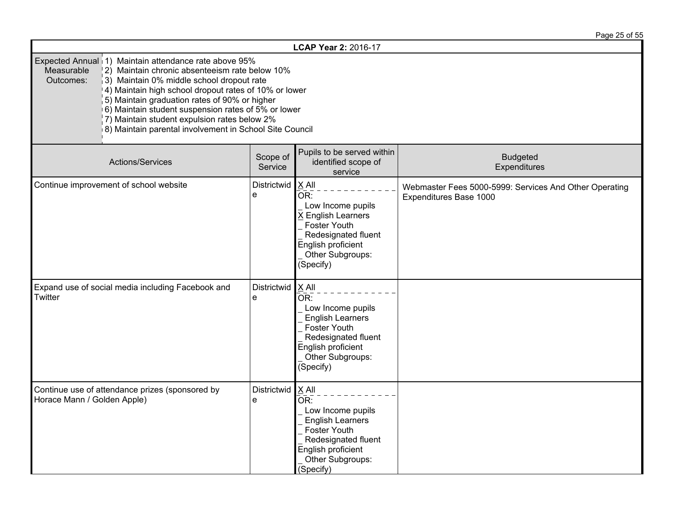|                                                                                                                                                                                                                                                                                                                                                                                                                                                             |                     |                                                                                                                                                                     | Page 25 of 55                                                                    |
|-------------------------------------------------------------------------------------------------------------------------------------------------------------------------------------------------------------------------------------------------------------------------------------------------------------------------------------------------------------------------------------------------------------------------------------------------------------|---------------------|---------------------------------------------------------------------------------------------------------------------------------------------------------------------|----------------------------------------------------------------------------------|
|                                                                                                                                                                                                                                                                                                                                                                                                                                                             |                     | LCAP Year 2: 2016-17                                                                                                                                                |                                                                                  |
| Expected Annual 1) Maintain attendance rate above 95%<br>Measurable<br>2) Maintain chronic absenteeism rate below 10%<br>3) Maintain 0% middle school dropout rate<br>Outcomes:<br>4) Maintain high school dropout rates of 10% or lower<br>5) Maintain graduation rates of 90% or higher<br>6) Maintain student suspension rates of 5% or lower<br>7) Maintain student expulsion rates below 2%<br>8) Maintain parental involvement in School Site Council |                     |                                                                                                                                                                     |                                                                                  |
| Actions/Services                                                                                                                                                                                                                                                                                                                                                                                                                                            | Scope of<br>Service | Pupils to be served within<br>identified scope of<br>service                                                                                                        | <b>Budgeted</b><br>Expenditures                                                  |
| Continue improvement of school website                                                                                                                                                                                                                                                                                                                                                                                                                      | Districtwid<br>e    | X All<br>OR:<br>Low Income pupils<br>X English Learners<br><b>Foster Youth</b><br>Redesignated fluent<br>English proficient<br>Other Subgroups:<br>(Specify)        | Webmaster Fees 5000-5999: Services And Other Operating<br>Expenditures Base 1000 |
| Expand use of social media including Facebook and<br>Twitter                                                                                                                                                                                                                                                                                                                                                                                                | Districtwid<br>e    | $X$ All<br>OR:<br>Low Income pupils<br><b>English Learners</b><br><b>Foster Youth</b><br>Redesignated fluent<br>English proficient<br>Other Subgroups:<br>(Specify) |                                                                                  |
| Continue use of attendance prizes (sponsored by<br>Horace Mann / Golden Apple)                                                                                                                                                                                                                                                                                                                                                                              | Districtwid<br>e    | $X$ All<br>OR:<br>Low Income pupils<br><b>English Learners</b><br><b>Foster Youth</b><br>Redesignated fluent<br>English proficient<br>Other Subgroups:<br>(Specify) |                                                                                  |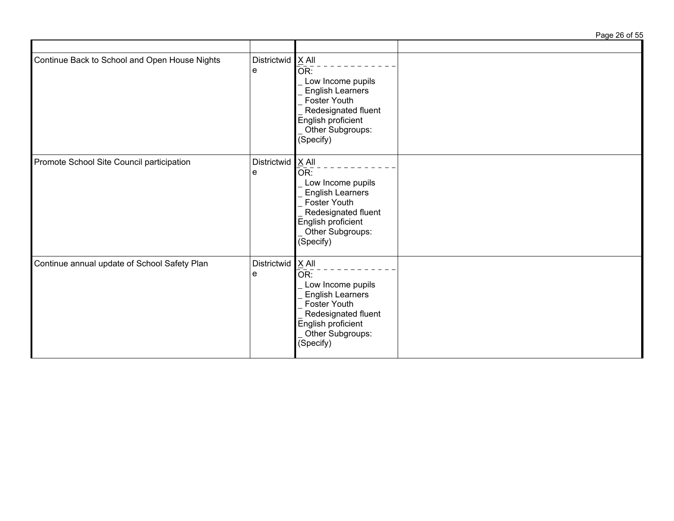Page 26 of 55

| Continue Back to School and Open House Nights | Districtwid $X$ All<br>e | OR:<br>Low Income pupils<br><b>English Learners</b><br><b>Foster Youth</b><br>Redesignated fluent<br>English proficient<br>Other Subgroups:<br>(Specify) |  |
|-----------------------------------------------|--------------------------|----------------------------------------------------------------------------------------------------------------------------------------------------------|--|
| Promote School Site Council participation     | Districtwid $X$ All<br>e | OR:<br>Low Income pupils<br><b>English Learners</b><br><b>Foster Youth</b><br>Redesignated fluent<br>English proficient<br>Other Subgroups:<br>(Specify) |  |
| Continue annual update of School Safety Plan  | Districtwid $X$ All<br>e | OR:<br>Low Income pupils<br><b>English Learners</b><br>Foster Youth<br>Redesignated fluent<br>English proficient<br>Other Subgroups:<br>(Specify)        |  |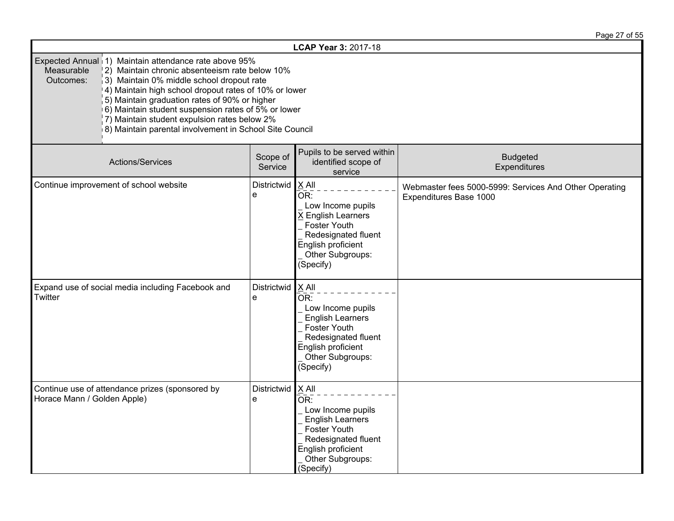|                                                                                                                                                                                                                                                                                                                                                                                                                                                             |                     |                                                                                                                                                                     | Page 27 of 55                                                                    |
|-------------------------------------------------------------------------------------------------------------------------------------------------------------------------------------------------------------------------------------------------------------------------------------------------------------------------------------------------------------------------------------------------------------------------------------------------------------|---------------------|---------------------------------------------------------------------------------------------------------------------------------------------------------------------|----------------------------------------------------------------------------------|
|                                                                                                                                                                                                                                                                                                                                                                                                                                                             |                     | LCAP Year 3: 2017-18                                                                                                                                                |                                                                                  |
| Expected Annual 1) Maintain attendance rate above 95%<br>Measurable<br>2) Maintain chronic absenteeism rate below 10%<br>3) Maintain 0% middle school dropout rate<br>Outcomes:<br>4) Maintain high school dropout rates of 10% or lower<br>5) Maintain graduation rates of 90% or higher<br>6) Maintain student suspension rates of 5% or lower<br>7) Maintain student expulsion rates below 2%<br>8) Maintain parental involvement in School Site Council |                     |                                                                                                                                                                     |                                                                                  |
| Actions/Services                                                                                                                                                                                                                                                                                                                                                                                                                                            | Scope of<br>Service | Pupils to be served within<br>identified scope of<br>service                                                                                                        | <b>Budgeted</b><br>Expenditures                                                  |
| Continue improvement of school website                                                                                                                                                                                                                                                                                                                                                                                                                      | Districtwid<br>e    | X All<br>OR:<br>Low Income pupils<br>X English Learners<br>Foster Youth<br>Redesignated fluent<br>English proficient<br>Other Subgroups:<br>(Specify)               | Webmaster fees 5000-5999: Services And Other Operating<br>Expenditures Base 1000 |
| Expand use of social media including Facebook and<br>Twitter                                                                                                                                                                                                                                                                                                                                                                                                | Districtwid<br>e    | $X$ All<br>OR:<br>Low Income pupils<br><b>English Learners</b><br><b>Foster Youth</b><br>Redesignated fluent<br>English proficient<br>Other Subgroups:<br>(Specify) |                                                                                  |
| Continue use of attendance prizes (sponsored by<br>Horace Mann / Golden Apple)                                                                                                                                                                                                                                                                                                                                                                              | Districtwid<br>e    | $X$ All<br>OR:<br>Low Income pupils<br><b>English Learners</b><br><b>Foster Youth</b><br>Redesignated fluent<br>English proficient<br>Other Subgroups:<br>(Specify) |                                                                                  |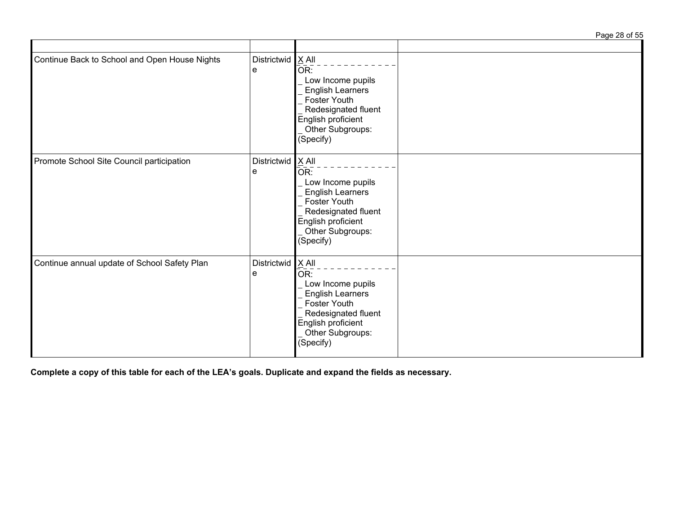Continue Back to School and Open House Nights e Districtwid  $X$  All  $\overline{\mathsf{OR}}$ : Low Income pupils English Learners Foster Youth -<br>Redesignated fluent English proficient Other Subgroups: (Specify) Promote School Site Council participation e Districtwid | X All  $\overline{OR:}$  Low Income pupils English Learners Foster Youth Redesignated fluent English proficient Other Subgroups: (Specify) Continue annual update of School Safety Plan Districtwid e X All  $\overline{OR}$ . Low Income pupils English Learners Foster Youth Redesignated fluent English proficient Other Subgroups: (Specify)

Page 28 of 55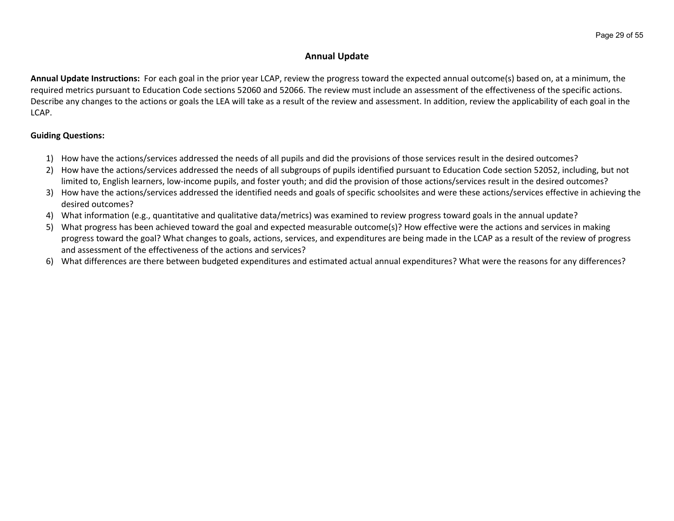# **Annual Update**

**Annual Update Instructions:** For each goal in the prior year LCAP, review the progress toward the expected annual outcome(s) based on, at a minimum, the required metrics pursuant to Education Code sections 52060 and 52066. The review must include an assessment of the effectiveness of the specific actions. Describe any changes to the actions or goals the LEA will take as a result of the review and assessment. In addition, review the applicability of each goal in the LCAP.

## **Guiding Questions:**

- 1) How have the actions/services addressed the needs of all pupils and did the provisions of those services result in the desired outcomes?
- 2) How have the actions/services addressed the needs of all subgroups of pupils identified pursuant to Education Code section 52052, including, but not limited to, English learners, low-income pupils, and foster youth; and did the provision of those actions/services result in the desired outcomes?
- 3) How have the actions/services addressed the identified needs and goals of specific schoolsites and were these actions/services effective in achieving the desired outcomes?
- 4) What information (e.g., quantitative and qualitative data/metrics) was examined to review progress toward goals in the annual update?
- 5) What progress has been achieved toward the goal and expected measurable outcome(s)? How effective were the actions and services in making progress toward the goal? What changes to goals, actions, services, and expenditures are being made in the LCAP as a result of the review of progress and assessment of the effectiveness of the actions and services?
- 6) What differences are there between budgeted expenditures and estimated actual annual expenditures? What were the reasons for any differences?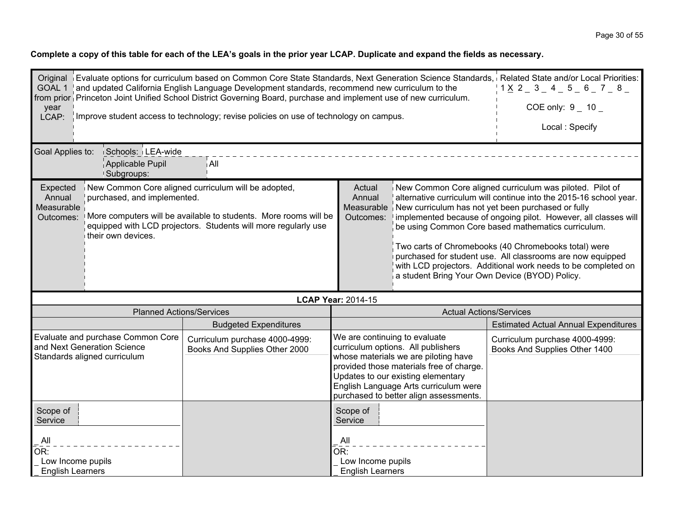| year<br>LCAP:<br>Goal Applies to:                                                                                                                                                                                                                                                                                                                                                                                                                                                                                                                                                                                                                                                                                                                                                                                                                                                                     | Original Evaluate options for curriculum based on Common Core State Standards, Next Generation Science Standards, Related State and/or Local Priorities:<br>GOAL 1 and updated California English Language Development standards, recommend new curriculum to the<br>$1 \times 2 = 3 = 4 = 5 = 6 = 7 = 8 =$<br>from prior Princeton Joint Unified School District Governing Board, purchase and implement use of new curriculum.<br>COE only: $9 - 10$<br>Improve student access to technology; revise policies on use of technology on campus.<br>Local: Specify<br>Schools: LEA-wide |                                                                                                 |                                                                                                 |                                                                                                                                                                                                                                                                                  |                                                                                                                |
|-------------------------------------------------------------------------------------------------------------------------------------------------------------------------------------------------------------------------------------------------------------------------------------------------------------------------------------------------------------------------------------------------------------------------------------------------------------------------------------------------------------------------------------------------------------------------------------------------------------------------------------------------------------------------------------------------------------------------------------------------------------------------------------------------------------------------------------------------------------------------------------------------------|----------------------------------------------------------------------------------------------------------------------------------------------------------------------------------------------------------------------------------------------------------------------------------------------------------------------------------------------------------------------------------------------------------------------------------------------------------------------------------------------------------------------------------------------------------------------------------------|-------------------------------------------------------------------------------------------------|-------------------------------------------------------------------------------------------------|----------------------------------------------------------------------------------------------------------------------------------------------------------------------------------------------------------------------------------------------------------------------------------|----------------------------------------------------------------------------------------------------------------|
|                                                                                                                                                                                                                                                                                                                                                                                                                                                                                                                                                                                                                                                                                                                                                                                                                                                                                                       | Applicable Pupil<br><sup>1</sup> Subgroups:                                                                                                                                                                                                                                                                                                                                                                                                                                                                                                                                            | ∣ All                                                                                           |                                                                                                 |                                                                                                                                                                                                                                                                                  |                                                                                                                |
| New Common Core aligned curriculum will be adopted,<br>New Common Core aligned curriculum was piloted. Pilot of<br>Expected<br>Actual<br>Annual<br>alternative curriculum will continue into the 2015-16 school year.<br>Annual<br>purchased, and implemented.<br>Measurable<br>Measurable New curriculum has not yet been purchased or fully<br>More computers will be available to students. More rooms will be<br>implemented because of ongoing pilot. However, all classes will<br>Outcomes:<br>Outcomes:<br>equipped with LCD projectors. Students will more regularly use<br>be using Common Core based mathematics curriculum.<br>their own devices.<br>Two carts of Chromebooks (40 Chromebooks total) were<br>purchased for student use. All classrooms are now equipped<br>with LCD projectors. Additional work needs to be completed on<br>a student Bring Your Own Device (BYOD) Policy. |                                                                                                                                                                                                                                                                                                                                                                                                                                                                                                                                                                                        |                                                                                                 |                                                                                                 |                                                                                                                                                                                                                                                                                  |                                                                                                                |
|                                                                                                                                                                                                                                                                                                                                                                                                                                                                                                                                                                                                                                                                                                                                                                                                                                                                                                       |                                                                                                                                                                                                                                                                                                                                                                                                                                                                                                                                                                                        |                                                                                                 | <b>LCAP Year: 2014-15</b>                                                                       |                                                                                                                                                                                                                                                                                  |                                                                                                                |
|                                                                                                                                                                                                                                                                                                                                                                                                                                                                                                                                                                                                                                                                                                                                                                                                                                                                                                       | <b>Planned Actions/Services</b>                                                                                                                                                                                                                                                                                                                                                                                                                                                                                                                                                        |                                                                                                 | <b>Actual Actions/Services</b>                                                                  |                                                                                                                                                                                                                                                                                  |                                                                                                                |
|                                                                                                                                                                                                                                                                                                                                                                                                                                                                                                                                                                                                                                                                                                                                                                                                                                                                                                       | Evaluate and purchase Common Core<br>and Next Generation Science<br>Standards aligned curriculum                                                                                                                                                                                                                                                                                                                                                                                                                                                                                       | <b>Budgeted Expenditures</b><br>Curriculum purchase 4000-4999:<br>Books And Supplies Other 2000 |                                                                                                 | We are continuing to evaluate<br>curriculum options. All publishers<br>whose materials we are piloting have<br>provided those materials free of charge.<br>Updates to our existing elementary<br>English Language Arts curriculum were<br>purchased to better align assessments. | <b>Estimated Actual Annual Expenditures</b><br>Curriculum purchase 4000-4999:<br>Books And Supplies Other 1400 |
| Scope of<br>Service<br>All<br>OR:<br>Low Income pupils<br><b>English Learners</b>                                                                                                                                                                                                                                                                                                                                                                                                                                                                                                                                                                                                                                                                                                                                                                                                                     |                                                                                                                                                                                                                                                                                                                                                                                                                                                                                                                                                                                        |                                                                                                 | Scope of<br>Service<br>All<br>$\overline{OR}$ :<br>Low Income pupils<br><b>English Learners</b> |                                                                                                                                                                                                                                                                                  |                                                                                                                |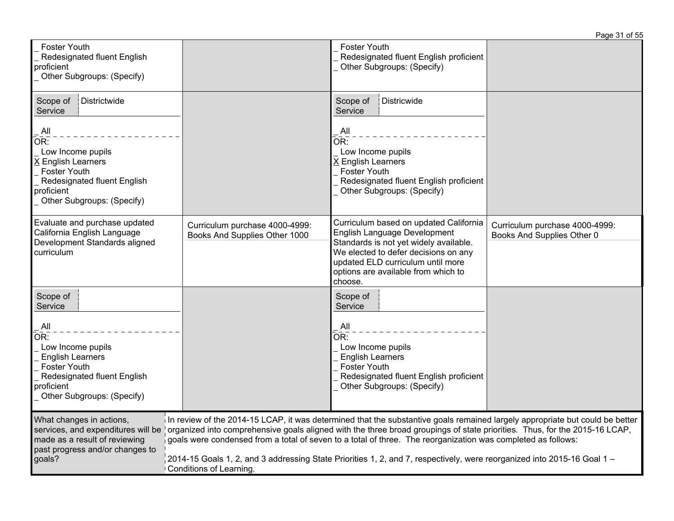|                                                                                                                                                                                                |                                                                 |                                                                                                                                                                                                                                                                                                                                                                                                                                                                                                       | Page 31 of 55                                                |
|------------------------------------------------------------------------------------------------------------------------------------------------------------------------------------------------|-----------------------------------------------------------------|-------------------------------------------------------------------------------------------------------------------------------------------------------------------------------------------------------------------------------------------------------------------------------------------------------------------------------------------------------------------------------------------------------------------------------------------------------------------------------------------------------|--------------------------------------------------------------|
| <b>Foster Youth</b><br>Redesignated fluent English<br>proficient<br>Other Subgroups: (Specify)                                                                                                 |                                                                 | <b>Foster Youth</b><br>Redesignated fluent English proficient<br>Other Subgroups: (Specify)                                                                                                                                                                                                                                                                                                                                                                                                           |                                                              |
| Districtwide<br>Scope of<br>Service<br>All<br>OR:<br>Low Income pupils<br>X English Learners<br><b>Foster Youth</b><br>Redesignated fluent English<br>proficient<br>Other Subgroups: (Specify) |                                                                 | Districwide<br>Scope of<br>Service<br>All<br>OR:<br>Low Income pupils<br>X English Learners<br><b>Foster Youth</b><br>Redesignated fluent English proficient<br>Other Subgroups: (Specify)                                                                                                                                                                                                                                                                                                            |                                                              |
| Evaluate and purchase updated<br>California English Language<br>Development Standards aligned<br>curriculum                                                                                    | Curriculum purchase 4000-4999:<br>Books And Supplies Other 1000 | Curriculum based on updated California<br>English Language Development<br>Standards is not yet widely available.<br>We elected to defer decisions on any<br>updated ELD curriculum until more<br>options are available from which to<br>choose.                                                                                                                                                                                                                                                       | Curriculum purchase 4000-4999:<br>Books And Supplies Other 0 |
| Scope of<br>Service<br>All<br>OR:<br>Low Income pupils<br><b>English Learners</b><br><b>Foster Youth</b><br>Redesignated fluent English<br>proficient<br>Other Subgroups: (Specify)            |                                                                 | Scope of<br>Service<br>$\mathsf{All}$<br>OR:<br>Low Income pupils<br><b>English Learners</b><br>Foster Youth<br>Redesignated fluent English proficient<br>Other Subgroups: (Specify)                                                                                                                                                                                                                                                                                                                  |                                                              |
| What changes in actions,<br>services, and expenditures will be<br>made as a result of reviewing<br>past progress and/or changes to<br>goals?                                                   | Conditions of Learning.                                         | In review of the 2014-15 LCAP, it was determined that the substantive goals remained largely appropriate but could be better<br>organized into comprehensive goals aligned with the three broad groupings of state priorities. Thus, for the 2015-16 LCAP,<br>goals were condensed from a total of seven to a total of three. The reorganization was completed as follows:<br>2014-15 Goals 1, 2, and 3 addressing State Priorities 1, 2, and 7, respectively, were reorganized into 2015-16 Goal 1 – |                                                              |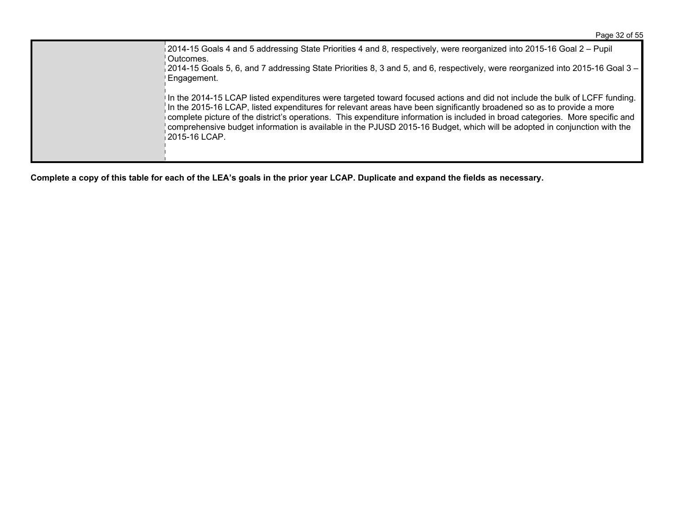| 2014-15 Goals 4 and 5 addressing State Priorities 4 and 8, respectively, were reorganized into 2015-16 Goal 2 – Pupil<br>Outcomes.<br>2014-15 Goals 5, 6, and 7 addressing State Priorities 8, 3 and 5, and 6, respectively, were reorganized into 2015-16 Goal 3 -<br>Engagement.                                                                                                                                                                                                                                                   |
|--------------------------------------------------------------------------------------------------------------------------------------------------------------------------------------------------------------------------------------------------------------------------------------------------------------------------------------------------------------------------------------------------------------------------------------------------------------------------------------------------------------------------------------|
| In the 2014-15 LCAP listed expenditures were targeted toward focused actions and did not include the bulk of LCFF funding.<br>In the 2015-16 LCAP, listed expenditures for relevant areas have been significantly broadened so as to provide a more<br>complete picture of the district's operations. This expenditure information is included in broad categories. More specific and<br>comprehensive budget information is available in the PJUSD 2015-16 Budget, which will be adopted in conjunction with the<br>i 2015-16 LCAP. |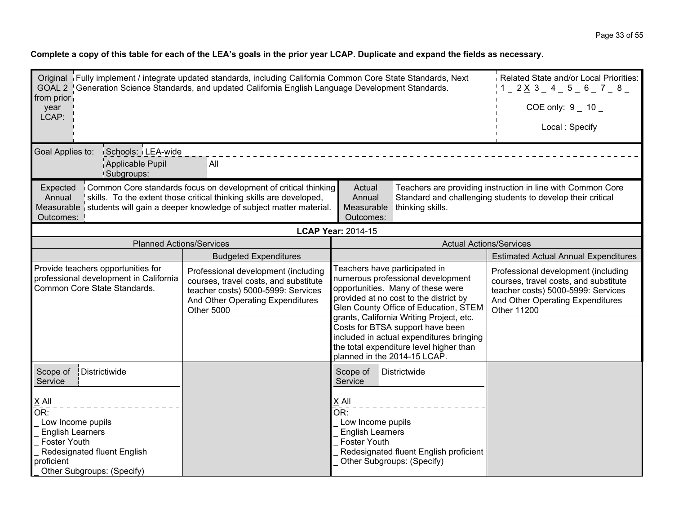| Original Fully implement / integrate updated standards, including California Common Core State Standards, Next<br>GOAL 2   Generation Science Standards, and updated California English Language Development Standards.<br>from prior                                                                                                                                                                                                                   | Related State and/or Local Priorities:<br>$1 - 2 \times 3 - 4 - 5 - 6 - 7 - 8$                                                                                              |                                                                                                                                                                                                                                                                                                                                                                                                   |                                                                                                                                                                       |
|---------------------------------------------------------------------------------------------------------------------------------------------------------------------------------------------------------------------------------------------------------------------------------------------------------------------------------------------------------------------------------------------------------------------------------------------------------|-----------------------------------------------------------------------------------------------------------------------------------------------------------------------------|---------------------------------------------------------------------------------------------------------------------------------------------------------------------------------------------------------------------------------------------------------------------------------------------------------------------------------------------------------------------------------------------------|-----------------------------------------------------------------------------------------------------------------------------------------------------------------------|
| year<br>LCAP:                                                                                                                                                                                                                                                                                                                                                                                                                                           |                                                                                                                                                                             |                                                                                                                                                                                                                                                                                                                                                                                                   | COE only: $9 - 10 -$                                                                                                                                                  |
|                                                                                                                                                                                                                                                                                                                                                                                                                                                         |                                                                                                                                                                             |                                                                                                                                                                                                                                                                                                                                                                                                   | Local: Specify                                                                                                                                                        |
| Goal Applies to:<br>Schools: LEA-wide                                                                                                                                                                                                                                                                                                                                                                                                                   |                                                                                                                                                                             |                                                                                                                                                                                                                                                                                                                                                                                                   |                                                                                                                                                                       |
| Applicable Pupil<br><sup>1</sup> Subgroups:                                                                                                                                                                                                                                                                                                                                                                                                             | ∣ All                                                                                                                                                                       |                                                                                                                                                                                                                                                                                                                                                                                                   |                                                                                                                                                                       |
| Common Core standards focus on development of critical thinking<br>Teachers are providing instruction in line with Common Core<br>Actual<br>Expected<br>skills. To the extent those critical thinking skills are developed,<br>Annual<br>Standard and challenging students to develop their critical<br>Annual<br>Measurable students will gain a deeper knowledge of subject matter material.<br>Measurable thinking skills.<br>Outcomes:<br>Outcomes: |                                                                                                                                                                             |                                                                                                                                                                                                                                                                                                                                                                                                   |                                                                                                                                                                       |
|                                                                                                                                                                                                                                                                                                                                                                                                                                                         |                                                                                                                                                                             | <b>LCAP Year: 2014-15</b>                                                                                                                                                                                                                                                                                                                                                                         |                                                                                                                                                                       |
| <b>Planned Actions/Services</b>                                                                                                                                                                                                                                                                                                                                                                                                                         |                                                                                                                                                                             | <b>Actual Actions/Services</b>                                                                                                                                                                                                                                                                                                                                                                    |                                                                                                                                                                       |
|                                                                                                                                                                                                                                                                                                                                                                                                                                                         | <b>Budgeted Expenditures</b>                                                                                                                                                |                                                                                                                                                                                                                                                                                                                                                                                                   | <b>Estimated Actual Annual Expenditures</b>                                                                                                                           |
| Provide teachers opportunities for<br>professional development in California<br>Common Core State Standards.                                                                                                                                                                                                                                                                                                                                            | Professional development (including<br>courses, travel costs, and substitute<br>teacher costs) 5000-5999: Services<br>And Other Operating Expenditures<br><b>Other 5000</b> | Teachers have participated in<br>numerous professional development<br>opportunities. Many of these were<br>provided at no cost to the district by<br>Glen County Office of Education, STEM<br>grants, California Writing Project, etc.<br>Costs for BTSA support have been<br>included in actual expenditures bringing<br>the total expenditure level higher than<br>planned in the 2014-15 LCAP. | Professional development (including<br>courses, travel costs, and substitute<br>teacher costs) 5000-5999: Services<br>And Other Operating Expenditures<br>Other 11200 |
| Districtiwide<br>Scope of<br>Service                                                                                                                                                                                                                                                                                                                                                                                                                    |                                                                                                                                                                             | Scope of<br>Districtwide<br>Service                                                                                                                                                                                                                                                                                                                                                               |                                                                                                                                                                       |
| $\times$ All<br>OR:<br>Low Income pupils<br><b>English Learners</b><br><b>Foster Youth</b><br>Redesignated fluent English<br>proficient<br>Other Subgroups: (Specify)                                                                                                                                                                                                                                                                                   |                                                                                                                                                                             | $X$ All<br>OR:<br>Low Income pupils<br><b>English Learners</b><br><b>Foster Youth</b><br>Redesignated fluent English proficient<br>Other Subgroups: (Specify)                                                                                                                                                                                                                                     |                                                                                                                                                                       |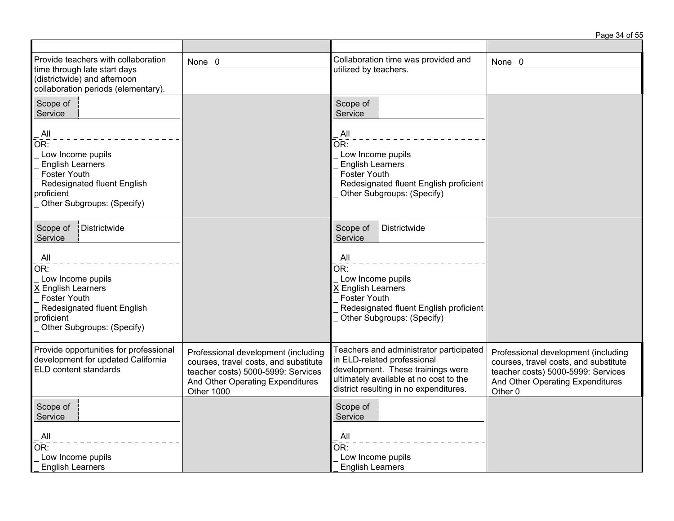|  | Page 34 of 55 |  |  |  |
|--|---------------|--|--|--|
|--|---------------|--|--|--|

| Provide teachers with collaboration<br>time through late start days<br>(districtwide) and afternoon<br>collaboration periods (elementary).                   | None 0                                                                                                                                                               | Collaboration time was provided and<br>utilized by teachers.                                                                                                                                    | None 0                                                                                                                                                                       |
|--------------------------------------------------------------------------------------------------------------------------------------------------------------|----------------------------------------------------------------------------------------------------------------------------------------------------------------------|-------------------------------------------------------------------------------------------------------------------------------------------------------------------------------------------------|------------------------------------------------------------------------------------------------------------------------------------------------------------------------------|
| Scope of<br>Service                                                                                                                                          |                                                                                                                                                                      | Scope of<br>Service                                                                                                                                                                             |                                                                                                                                                                              |
| All<br>OR:<br>Low Income pupils<br><b>English Learners</b><br><b>Foster Youth</b><br>Redesignated fluent English<br>proficient<br>Other Subgroups: (Specify) |                                                                                                                                                                      | $\overline{A}$ ll<br>OR:<br>Low Income pupils<br><b>English Learners</b><br>Foster Youth<br>Redesignated fluent English proficient<br>Other Subgroups: (Specify)                                |                                                                                                                                                                              |
| Districtwide<br>Scope of<br>Service<br>All                                                                                                                   |                                                                                                                                                                      | Districtwide<br>Scope of<br>Service<br>All                                                                                                                                                      |                                                                                                                                                                              |
| OR:<br>Low Income pupils<br><b>X</b> English Learners<br><b>Foster Youth</b><br>Redesignated fluent English<br>proficient<br>Other Subgroups: (Specify)      |                                                                                                                                                                      | $\overline{\mathsf{OR}}$ :<br>Low Income pupils<br>X English Learners<br><b>Foster Youth</b><br>Redesignated fluent English proficient<br>Other Subgroups: (Specify)                            |                                                                                                                                                                              |
| Provide opportunities for professional<br>development for updated California<br><b>ELD</b> content standards                                                 | Professional development (including<br>courses, travel costs, and substitute<br>teacher costs) 5000-5999: Services<br>And Other Operating Expenditures<br>Other 1000 | Teachers and administrator participated<br>in ELD-related professional<br>development. These trainings were<br>ultimately available at no cost to the<br>district resulting in no expenditures. | Professional development (including<br>courses, travel costs, and substitute<br>teacher costs) 5000-5999: Services<br>And Other Operating Expenditures<br>Other <sub>0</sub> |
| Scope of<br>Service                                                                                                                                          |                                                                                                                                                                      | Scope of<br>Service                                                                                                                                                                             |                                                                                                                                                                              |
| All<br>OR:<br>Low Income pupils<br><b>English Learners</b>                                                                                                   |                                                                                                                                                                      | $\overline{A}$ ll<br>OR:<br>Low Income pupils<br><b>English Learners</b>                                                                                                                        |                                                                                                                                                                              |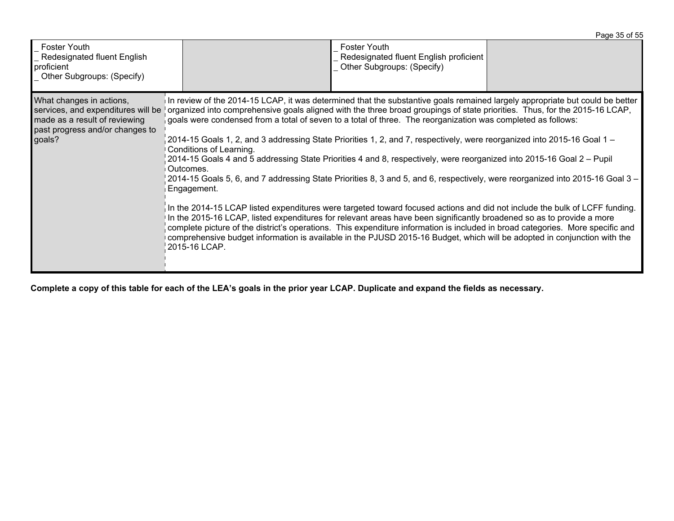|                                                                                                                                              | Page 35 of 55                                                                                                                                                                                                                                                                                                                                                                                                                                                                                                                                                                                                                                                                                                                                                                                                                                                                                                                                                                                                                                                                                                                                                                                                                                                                                                                                                |
|----------------------------------------------------------------------------------------------------------------------------------------------|--------------------------------------------------------------------------------------------------------------------------------------------------------------------------------------------------------------------------------------------------------------------------------------------------------------------------------------------------------------------------------------------------------------------------------------------------------------------------------------------------------------------------------------------------------------------------------------------------------------------------------------------------------------------------------------------------------------------------------------------------------------------------------------------------------------------------------------------------------------------------------------------------------------------------------------------------------------------------------------------------------------------------------------------------------------------------------------------------------------------------------------------------------------------------------------------------------------------------------------------------------------------------------------------------------------------------------------------------------------|
| <b>Foster Youth</b><br>Redesignated fluent English<br>proficient<br>Other Subgroups: (Specify)                                               | <b>Foster Youth</b><br>Redesignated fluent English proficient<br>Other Subgroups: (Specify)                                                                                                                                                                                                                                                                                                                                                                                                                                                                                                                                                                                                                                                                                                                                                                                                                                                                                                                                                                                                                                                                                                                                                                                                                                                                  |
| What changes in actions,<br>services, and expenditures will be<br>made as a result of reviewing<br>past progress and/or changes to<br>goals? | In review of the 2014-15 LCAP, it was determined that the substantive goals remained largely appropriate but could be better<br>organized into comprehensive goals aligned with the three broad groupings of state priorities. Thus, for the 2015-16 LCAP,<br>goals were condensed from a total of seven to a total of three. The reorganization was completed as follows:<br>2014-15 Goals 1, 2, and 3 addressing State Priorities 1, 2, and 7, respectively, were reorganized into 2015-16 Goal 1 –<br>Conditions of Learning.<br>2014-15 Goals 4 and 5 addressing State Priorities 4 and 8, respectively, were reorganized into 2015-16 Goal 2 - Pupil<br>Outcomes.<br>2014-15 Goals 5, 6, and 7 addressing State Priorities 8, 3 and 5, and 6, respectively, were reorganized into 2015-16 Goal 3 –<br>Engagement.<br>In the 2014-15 LCAP listed expenditures were targeted toward focused actions and did not include the bulk of LCFF funding.<br>In the 2015-16 LCAP, listed expenditures for relevant areas have been significantly broadened so as to provide a more<br>complete picture of the district's operations. This expenditure information is included in broad categories. More specific and<br>comprehensive budget information is available in the PJUSD 2015-16 Budget, which will be adopted in conjunction with the<br>2015-16 LCAP. |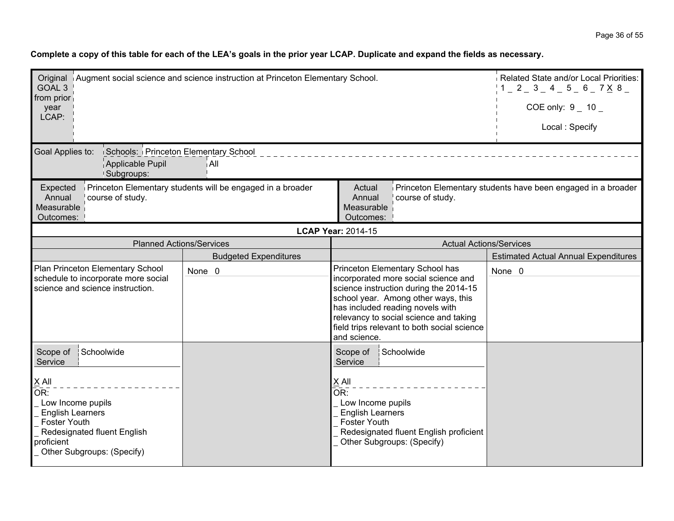| Original Augment social science and science instruction at Princeton Elementary School.<br>GOAL <sub>3</sub><br>from prior                            |                                                            |                                                                                                                                                                                                                                                                                                       | Related State and/or Local Priorities:<br>$1 - 2 - 3 - 4 - 5 - 6 - 7 \times 8$ |
|-------------------------------------------------------------------------------------------------------------------------------------------------------|------------------------------------------------------------|-------------------------------------------------------------------------------------------------------------------------------------------------------------------------------------------------------------------------------------------------------------------------------------------------------|--------------------------------------------------------------------------------|
| year<br>LCAP:                                                                                                                                         |                                                            |                                                                                                                                                                                                                                                                                                       | COE only: $9 - 10$                                                             |
|                                                                                                                                                       |                                                            |                                                                                                                                                                                                                                                                                                       | Local: Specify                                                                 |
| Schools: Princeton Elementary School<br>Goal Applies to:<br>Applicable Pupil<br><sup>1</sup> Subgroups:                                               | i All                                                      |                                                                                                                                                                                                                                                                                                       |                                                                                |
| Expected<br>course of study.<br>Annual<br>Measurable<br>Outcomes:                                                                                     | Princeton Elementary students will be engaged in a broader | Actual<br>Annual<br>course of study.<br>Measurable<br>Outcomes:                                                                                                                                                                                                                                       | Princeton Elementary students have been engaged in a broader                   |
|                                                                                                                                                       |                                                            | <b>LCAP Year: 2014-15</b>                                                                                                                                                                                                                                                                             |                                                                                |
| <b>Planned Actions/Services</b>                                                                                                                       |                                                            | <b>Actual Actions/Services</b>                                                                                                                                                                                                                                                                        |                                                                                |
|                                                                                                                                                       | <b>Budgeted Expenditures</b>                               |                                                                                                                                                                                                                                                                                                       | <b>Estimated Actual Annual Expenditures</b>                                    |
| Plan Princeton Elementary School<br>schedule to incorporate more social<br>science and science instruction.                                           | None 0                                                     | Princeton Elementary School has<br>incorporated more social science and<br>science instruction during the 2014-15<br>school year. Among other ways, this<br>has included reading novels with<br>relevancy to social science and taking<br>field trips relevant to both social science<br>and science. | None 0                                                                         |
| Schoolwide<br>Scope of<br>Service                                                                                                                     |                                                            | Schoolwide<br>Scope of<br>Service                                                                                                                                                                                                                                                                     |                                                                                |
| $X$ All                                                                                                                                               |                                                            | $\underline{X}$ All                                                                                                                                                                                                                                                                                   |                                                                                |
| OR:<br>Low Income pupils<br><b>English Learners</b><br><b>Foster Youth</b><br>Redesignated fluent English<br>proficient<br>Other Subgroups: (Specify) |                                                            | $\overline{\mathsf{OR}}$ :<br>Low Income pupils<br><b>English Learners</b><br><b>Foster Youth</b><br>Redesignated fluent English proficient<br>Other Subgroups: (Specify)                                                                                                                             |                                                                                |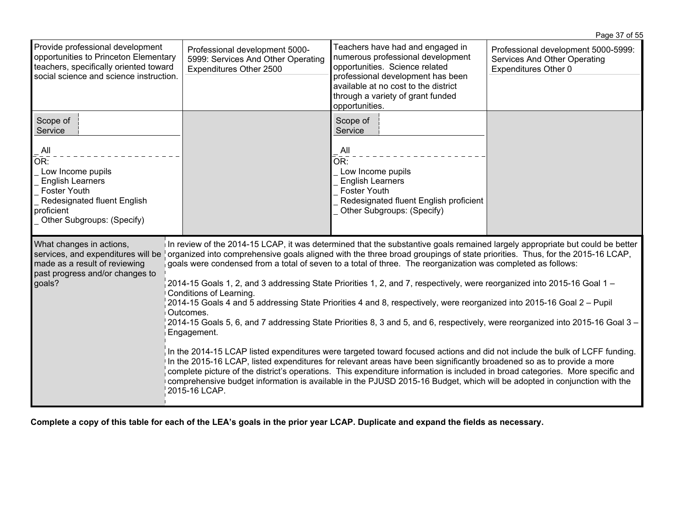|                                                                                                                                                                              |                                                                                                                                                                                                                                                                                                                                                                                                                                                                                                                                                                                                                                                                                                                                                                                                                                                                                                                                                                                                                                                                                                                                                                                                                                                                                                                                                                            |                                                                                                                                                                                                                                             | Page 37 of 55                                                                               |
|------------------------------------------------------------------------------------------------------------------------------------------------------------------------------|----------------------------------------------------------------------------------------------------------------------------------------------------------------------------------------------------------------------------------------------------------------------------------------------------------------------------------------------------------------------------------------------------------------------------------------------------------------------------------------------------------------------------------------------------------------------------------------------------------------------------------------------------------------------------------------------------------------------------------------------------------------------------------------------------------------------------------------------------------------------------------------------------------------------------------------------------------------------------------------------------------------------------------------------------------------------------------------------------------------------------------------------------------------------------------------------------------------------------------------------------------------------------------------------------------------------------------------------------------------------------|---------------------------------------------------------------------------------------------------------------------------------------------------------------------------------------------------------------------------------------------|---------------------------------------------------------------------------------------------|
| Provide professional development<br>opportunities to Princeton Elementary<br>teachers, specifically oriented toward<br>social science and science instruction.               | Professional development 5000-<br>5999: Services And Other Operating<br>Expenditures Other 2500                                                                                                                                                                                                                                                                                                                                                                                                                                                                                                                                                                                                                                                                                                                                                                                                                                                                                                                                                                                                                                                                                                                                                                                                                                                                            | Teachers have had and engaged in<br>numerous professional development<br>opportunities. Science related<br>professional development has been<br>available at no cost to the district<br>through a variety of grant funded<br>opportunities. | Professional development 5000-5999:<br>Services And Other Operating<br>Expenditures Other 0 |
| Scope of<br>Service<br>All<br>OR:<br>Low Income pupils<br><b>English Learners</b><br>Foster Youth<br>Redesignated fluent English<br>proficient<br>Other Subgroups: (Specify) |                                                                                                                                                                                                                                                                                                                                                                                                                                                                                                                                                                                                                                                                                                                                                                                                                                                                                                                                                                                                                                                                                                                                                                                                                                                                                                                                                                            | Scope of<br>Service<br>$\overline{\mathsf{All}}$<br>$\overline{\mathsf{OR}}$ :<br>Low Income pupils<br><b>English Learners</b><br><b>Foster Youth</b><br>Redesignated fluent English proficient<br>Other Subgroups: (Specify)               |                                                                                             |
| What changes in actions,<br>services, and expenditures will be<br>made as a result of reviewing<br>past progress and/or changes to<br>goals?                                 | In review of the 2014-15 LCAP, it was determined that the substantive goals remained largely appropriate but could be better<br>organized into comprehensive goals aligned with the three broad groupings of state priorities. Thus, for the 2015-16 LCAP,<br>$\frac{1}{2}$ goals were condensed from a total of seven to a total of three. The reorganization was completed as follows:<br>2014-15 Goals 1, 2, and 3 addressing State Priorities 1, 2, and 7, respectively, were reorganized into 2015-16 Goal 1 –<br>Conditions of Learning.<br>2014-15 Goals 4 and 5 addressing State Priorities 4 and 8, respectively, were reorganized into 2015-16 Goal 2 - Pupil<br>Outcomes.<br>2014-15 Goals 5, 6, and 7 addressing State Priorities 8, 3 and 5, and 6, respectively, were reorganized into 2015-16 Goal 3 -<br>Engagement.<br>In the 2014-15 LCAP listed expenditures were targeted toward focused actions and did not include the bulk of LCFF funding.<br>In the 2015-16 LCAP, listed expenditures for relevant areas have been significantly broadened so as to provide a more<br>complete picture of the district's operations. This expenditure information is included in broad categories. More specific and<br>comprehensive budget information is available in the PJUSD 2015-16 Budget, which will be adopted in conjunction with the<br>2015-16 LCAP. |                                                                                                                                                                                                                                             |                                                                                             |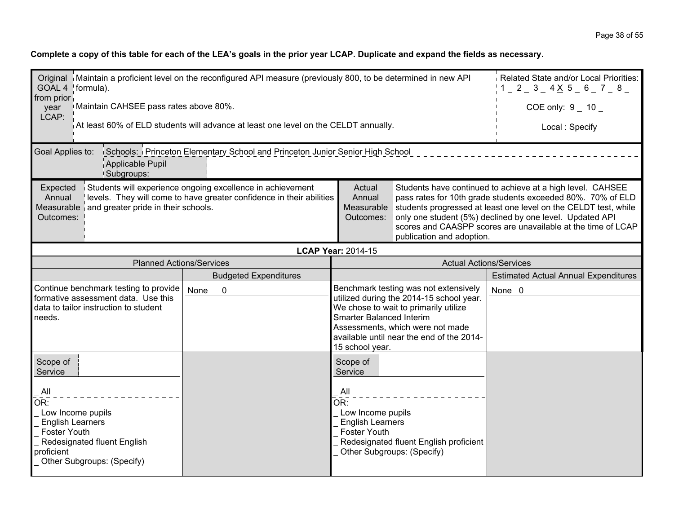| GOAL 4   formula).                                                                                                                                                                                                                                                                                                                                                                                                                                                                                                                                                                                                           | Related State and/or Local Priorities:<br>Original   Maintain a proficient level on the reconfigured API measure (previously 800, to be determined in new API<br>$1 = 2 = 3 = 4 \times 5 = 6 = 7 = 8 =$ |                                                                                                                                                                                                                                                                   |                                             |  |
|------------------------------------------------------------------------------------------------------------------------------------------------------------------------------------------------------------------------------------------------------------------------------------------------------------------------------------------------------------------------------------------------------------------------------------------------------------------------------------------------------------------------------------------------------------------------------------------------------------------------------|---------------------------------------------------------------------------------------------------------------------------------------------------------------------------------------------------------|-------------------------------------------------------------------------------------------------------------------------------------------------------------------------------------------------------------------------------------------------------------------|---------------------------------------------|--|
| from prior<br>Maintain CAHSEE pass rates above 80%.<br>year                                                                                                                                                                                                                                                                                                                                                                                                                                                                                                                                                                  |                                                                                                                                                                                                         |                                                                                                                                                                                                                                                                   | COE only: $9 - 10 -$                        |  |
| LCAP:                                                                                                                                                                                                                                                                                                                                                                                                                                                                                                                                                                                                                        | At least 60% of ELD students will advance at least one level on the CELDT annually.                                                                                                                     |                                                                                                                                                                                                                                                                   | Local: Specify                              |  |
| Goal Applies to:<br>Applicable Pupil<br><sup>1</sup> Subgroups:                                                                                                                                                                                                                                                                                                                                                                                                                                                                                                                                                              | Schools: Princeton Elementary School and Princeton Junior Senior High School                                                                                                                            |                                                                                                                                                                                                                                                                   |                                             |  |
| Students will experience ongoing excellence in achievement<br>Actual<br>Students have continued to achieve at a high level. CAHSEE<br>Expected<br>levels. They will come to have greater confidence in their abilities<br>Annual<br>Annual<br>pass rates for 10th grade students exceeded 80%. 70% of ELD<br>Measurable and greater pride in their schools.<br>Measurable students progressed at least one level on the CELDT test, while<br>only one student (5%) declined by one level. Updated API<br>Outcomes:<br>Outcomes:<br>scores and CAASPP scores are unavailable at the time of LCAP<br>publication and adoption. |                                                                                                                                                                                                         |                                                                                                                                                                                                                                                                   |                                             |  |
|                                                                                                                                                                                                                                                                                                                                                                                                                                                                                                                                                                                                                              |                                                                                                                                                                                                         | <b>LCAP Year: 2014-15</b>                                                                                                                                                                                                                                         |                                             |  |
| <b>Planned Actions/Services</b>                                                                                                                                                                                                                                                                                                                                                                                                                                                                                                                                                                                              |                                                                                                                                                                                                         | <b>Actual Actions/Services</b>                                                                                                                                                                                                                                    |                                             |  |
|                                                                                                                                                                                                                                                                                                                                                                                                                                                                                                                                                                                                                              | <b>Budgeted Expenditures</b>                                                                                                                                                                            |                                                                                                                                                                                                                                                                   | <b>Estimated Actual Annual Expenditures</b> |  |
| Continue benchmark testing to provide<br>formative assessment data. Use this<br>data to tailor instruction to student<br>needs.                                                                                                                                                                                                                                                                                                                                                                                                                                                                                              | $\mathbf 0$<br>None                                                                                                                                                                                     | Benchmark testing was not extensively<br>utilized during the 2014-15 school year.<br>We chose to wait to primarily utilize<br><b>Smarter Balanced Interim</b><br>Assessments, which were not made<br>available until near the end of the 2014-<br>15 school year. | None 0                                      |  |
| Scope of<br>Service<br>All<br>OR:<br>Low Income pupils<br><b>English Learners</b><br>Foster Youth<br>Redesignated fluent English<br>proficient<br>_ Other Subgroups: (Specify)                                                                                                                                                                                                                                                                                                                                                                                                                                               |                                                                                                                                                                                                         | Scope of<br>Service<br>All<br>$\bar{\mathsf{OR}}$ :<br>Low Income pupils<br><b>English Learners</b><br>Foster Youth<br>Redesignated fluent English proficient<br>Other Subgroups: (Specify)                                                                       |                                             |  |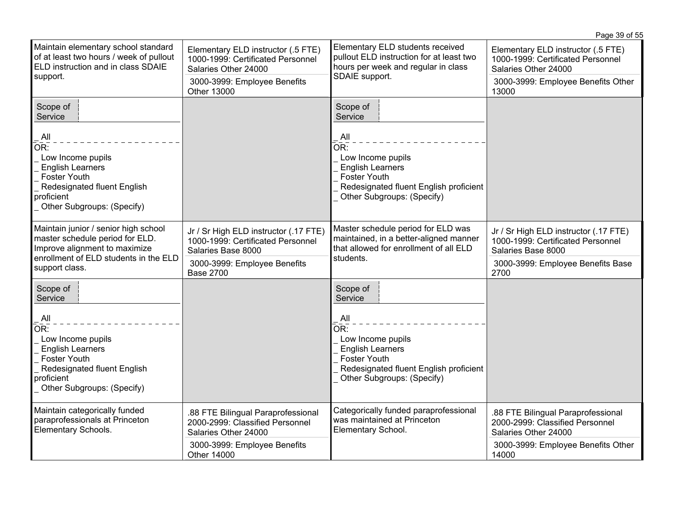|                                                                                                                                                                         |                                                                                                  |                                                                                                                                                                                                | Page 39 of 55                                                                                    |
|-------------------------------------------------------------------------------------------------------------------------------------------------------------------------|--------------------------------------------------------------------------------------------------|------------------------------------------------------------------------------------------------------------------------------------------------------------------------------------------------|--------------------------------------------------------------------------------------------------|
| Maintain elementary school standard<br>of at least two hours / week of pullout<br>ELD instruction and in class SDAIE                                                    | Elementary ELD instructor (.5 FTE)<br>1000-1999: Certificated Personnel<br>Salaries Other 24000  | Elementary ELD students received<br>pullout ELD instruction for at least two<br>hours per week and regular in class                                                                            | Elementary ELD instructor (.5 FTE)<br>1000-1999: Certificated Personnel<br>Salaries Other 24000  |
| support.                                                                                                                                                                | 3000-3999: Employee Benefits<br>Other 13000                                                      | SDAIE support.                                                                                                                                                                                 | 3000-3999: Employee Benefits Other<br>13000                                                      |
| Scope of<br>Service<br>$\mathsf{All}$<br>OR:<br>Low Income pupils<br><b>English Learners</b><br><b>Foster Youth</b><br>Redesignated fluent English                      |                                                                                                  | Scope of<br>Service<br>All<br>OR:<br>Low Income pupils<br><b>English Learners</b><br><b>Foster Youth</b><br>Redesignated fluent English proficient                                             |                                                                                                  |
| proficient<br>Other Subgroups: (Specify)                                                                                                                                |                                                                                                  | Other Subgroups: (Specify)                                                                                                                                                                     |                                                                                                  |
| Maintain junior / senior high school<br>master schedule period for ELD.<br>Improve alignment to maximize                                                                | Jr / Sr High ELD instructor (.17 FTE)<br>1000-1999: Certificated Personnel<br>Salaries Base 8000 | Master schedule period for ELD was<br>maintained, in a better-aligned manner<br>that allowed for enrollment of all ELD                                                                         | Jr / Sr High ELD instructor (.17 FTE)<br>1000-1999: Certificated Personnel<br>Salaries Base 8000 |
| enrollment of ELD students in the ELD<br>support class.                                                                                                                 | 3000-3999: Employee Benefits<br><b>Base 2700</b>                                                 | students.                                                                                                                                                                                      | 3000-3999: Employee Benefits Base<br>2700                                                        |
| Scope of<br>Service                                                                                                                                                     |                                                                                                  | Scope of<br>Service                                                                                                                                                                            |                                                                                                  |
| All<br>$\bar{\mathsf{OR}}$ :<br>Low Income pupils<br><b>English Learners</b><br>Foster Youth<br>Redesignated fluent English<br>proficient<br>Other Subgroups: (Specify) |                                                                                                  | $\overline{A}$ ll<br>$\overline{\mathsf{OR}}$ :<br>Low Income pupils<br><b>English Learners</b><br><b>Foster Youth</b><br>Redesignated fluent English proficient<br>Other Subgroups: (Specify) |                                                                                                  |
| Maintain categorically funded<br>paraprofessionals at Princeton<br>Elementary Schools.                                                                                  | .88 FTE Bilingual Paraprofessional<br>2000-2999: Classified Personnel<br>Salaries Other 24000    | Categorically funded paraprofessional<br>was maintained at Princeton<br>Elementary School.                                                                                                     | .88 FTE Bilingual Paraprofessional<br>2000-2999: Classified Personnel<br>Salaries Other 24000    |
|                                                                                                                                                                         | 3000-3999: Employee Benefits<br>Other 14000                                                      |                                                                                                                                                                                                | 3000-3999: Employee Benefits Other<br>14000                                                      |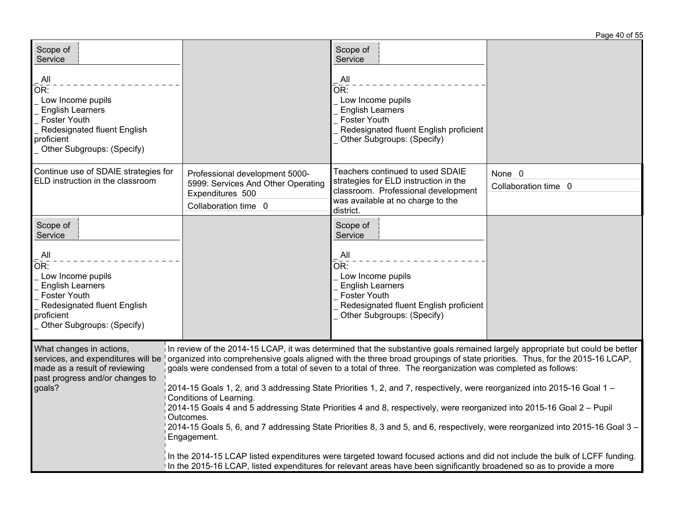| Scope of<br>Service<br>All<br>OR:<br>Low Income pupils<br><b>English Learners</b><br><b>Foster Youth</b><br>Redesignated fluent English<br>proficient<br>Other Subgroups: (Specify) |                                                                                                                  | Scope of<br>Service<br>All<br>$\overline{\mathsf{OR}}$ :<br>Low Income pupils<br><b>English Learners</b><br><b>Foster Youth</b><br>Redesignated fluent English proficient<br>Other Subgroups: (Specify)                                                                                                                                                                                                                                                                                                                                                                                                                                                                                                                                                                                                                                                                                                                                                                                                                |                                |
|-------------------------------------------------------------------------------------------------------------------------------------------------------------------------------------|------------------------------------------------------------------------------------------------------------------|------------------------------------------------------------------------------------------------------------------------------------------------------------------------------------------------------------------------------------------------------------------------------------------------------------------------------------------------------------------------------------------------------------------------------------------------------------------------------------------------------------------------------------------------------------------------------------------------------------------------------------------------------------------------------------------------------------------------------------------------------------------------------------------------------------------------------------------------------------------------------------------------------------------------------------------------------------------------------------------------------------------------|--------------------------------|
| Continue use of SDAIE strategies for<br>ELD instruction in the classroom                                                                                                            | Professional development 5000-<br>5999: Services And Other Operating<br>Expenditures 500<br>Collaboration time 0 | Teachers continued to used SDAIE<br>strategies for ELD instruction in the<br>classroom. Professional development<br>was available at no charge to the<br>district.                                                                                                                                                                                                                                                                                                                                                                                                                                                                                                                                                                                                                                                                                                                                                                                                                                                     | None 0<br>Collaboration time 0 |
| Scope of<br>Service<br>All<br>OR:<br>Low Income pupils<br><b>English Learners</b><br><b>Foster Youth</b><br>Redesignated fluent English<br>proficient<br>Other Subgroups: (Specify) |                                                                                                                  | Scope of<br>Service<br>All<br>OR:<br>Low Income pupils<br><b>English Learners</b><br><b>Foster Youth</b><br>Redesignated fluent English proficient<br>Other Subgroups: (Specify)                                                                                                                                                                                                                                                                                                                                                                                                                                                                                                                                                                                                                                                                                                                                                                                                                                       |                                |
| What changes in actions,<br>services, and expenditures will be<br>made as a result of reviewing<br>past progress and/or changes to<br>goals?                                        | Conditions of Learning.<br>Outcomes.<br>Engagement.                                                              | In review of the 2014-15 LCAP, it was determined that the substantive goals remained largely appropriate but could be better<br>organized into comprehensive goals aligned with the three broad groupings of state priorities. Thus, for the 2015-16 LCAP,<br>goals were condensed from a total of seven to a total of three. The reorganization was completed as follows:<br>2014-15 Goals 1, 2, and 3 addressing State Priorities 1, 2, and 7, respectively, were reorganized into 2015-16 Goal 1 –<br>2014-15 Goals 4 and 5 addressing State Priorities 4 and 8, respectively, were reorganized into 2015-16 Goal 2 – Pupil<br>2014-15 Goals 5, 6, and 7 addressing State Priorities 8, 3 and 5, and 6, respectively, were reorganized into 2015-16 Goal 3 -<br>In the 2014-15 LCAP listed expenditures were targeted toward focused actions and did not include the bulk of LCFF funding.<br>In the 2015-16 LCAP, listed expenditures for relevant areas have been significantly broadened so as to provide a more |                                |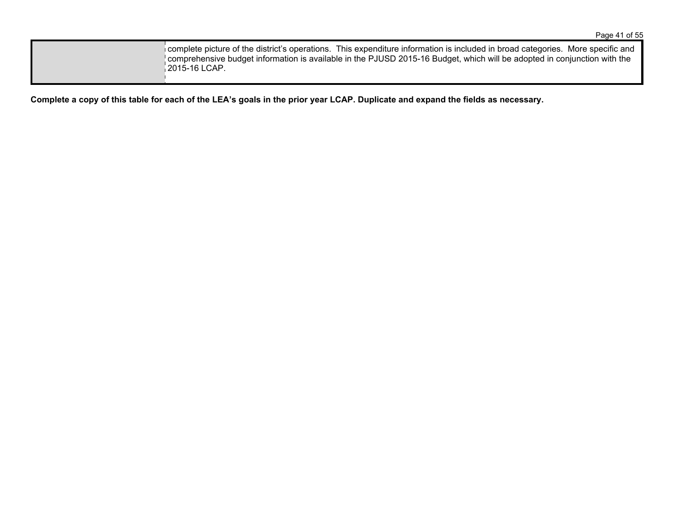| complete picture of the district's operations. This expenditure information is included in broad categories. More specific and |
|--------------------------------------------------------------------------------------------------------------------------------|
| comprehensive budget information is available in the PJUSD 2015-16 Budget, which will be adopted in conjunction with the       |
| 2015-16 LCAP.                                                                                                                  |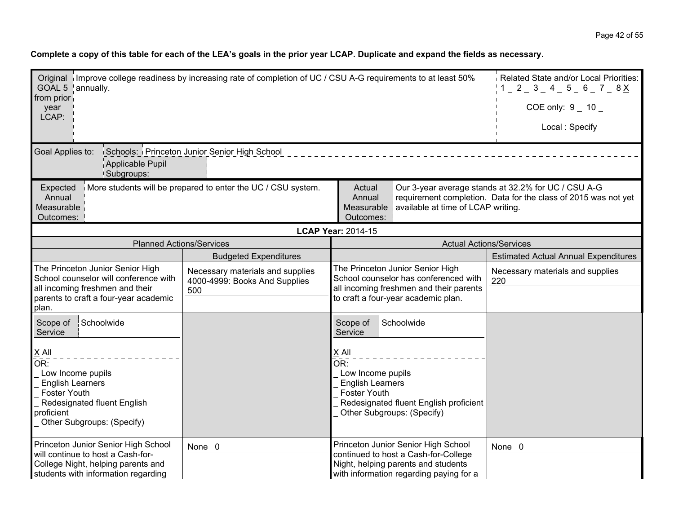| Original Improve college readiness by increasing rate of completion of UC / CSU A-G requirements to at least 50%<br>GOAL 5 annually.<br>from prior             |                                                                          |                                                                                                                                                               | Related State and/or Local Priorities:<br>$1 = 2 = 3 = 4 = 5 = 6 = 7 = 8$ $\times$                                    |
|----------------------------------------------------------------------------------------------------------------------------------------------------------------|--------------------------------------------------------------------------|---------------------------------------------------------------------------------------------------------------------------------------------------------------|-----------------------------------------------------------------------------------------------------------------------|
| year                                                                                                                                                           |                                                                          |                                                                                                                                                               | COE only: $9 - 10 -$                                                                                                  |
| LCAP:                                                                                                                                                          |                                                                          |                                                                                                                                                               | Local: Specify                                                                                                        |
| Goal Applies to:                                                                                                                                               | Schools: Princeton Junior Senior High School                             |                                                                                                                                                               |                                                                                                                       |
| Applicable Pupil<br><sup>1</sup> Subgroups:                                                                                                                    |                                                                          |                                                                                                                                                               |                                                                                                                       |
| Expected<br>Annual<br>Measurable<br>Outcomes:                                                                                                                  | More students will be prepared to enter the UC / CSU system.             | Actual<br>Annual<br>Measurable available at time of LCAP writing.<br>Outcomes:                                                                                | Our 3-year average stands at 32.2% for UC / CSU A-G<br>requirement completion. Data for the class of 2015 was not yet |
|                                                                                                                                                                |                                                                          | <b>LCAP Year: 2014-15</b>                                                                                                                                     |                                                                                                                       |
| <b>Planned Actions/Services</b>                                                                                                                                |                                                                          | <b>Actual Actions/Services</b>                                                                                                                                |                                                                                                                       |
|                                                                                                                                                                | <b>Budgeted Expenditures</b>                                             |                                                                                                                                                               | <b>Estimated Actual Annual Expenditures</b>                                                                           |
| The Princeton Junior Senior High<br>School counselor will conference with<br>all incoming freshmen and their<br>parents to craft a four-year academic<br>plan. | Necessary materials and supplies<br>4000-4999: Books And Supplies<br>500 | The Princeton Junior Senior High<br>School counselor has conferenced with<br>all incoming freshmen and their parents<br>to craft a four-year academic plan.   | Necessary materials and supplies<br>220                                                                               |
| Schoolwide<br>Scope of<br>Service                                                                                                                              |                                                                          | Schoolwide<br>Scope of<br>Service                                                                                                                             |                                                                                                                       |
| $X$ All<br>OR:<br>Low Income pupils<br><b>English Learners</b><br>Foster Youth<br>Redesignated fluent English<br>proficient<br>Other Subgroups: (Specify)      |                                                                          | X All<br>OR:<br>Low Income pupils<br><b>English Learners</b><br><b>Foster Youth</b><br>Redesignated fluent English proficient<br>Other Subgroups: (Specify)   |                                                                                                                       |
| Princeton Junior Senior High School<br>will continue to host a Cash-for-<br>College Night, helping parents and<br>students with information regarding          | None 0                                                                   | Princeton Junior Senior High School<br>continued to host a Cash-for-College<br>Night, helping parents and students<br>with information regarding paying for a | None 0                                                                                                                |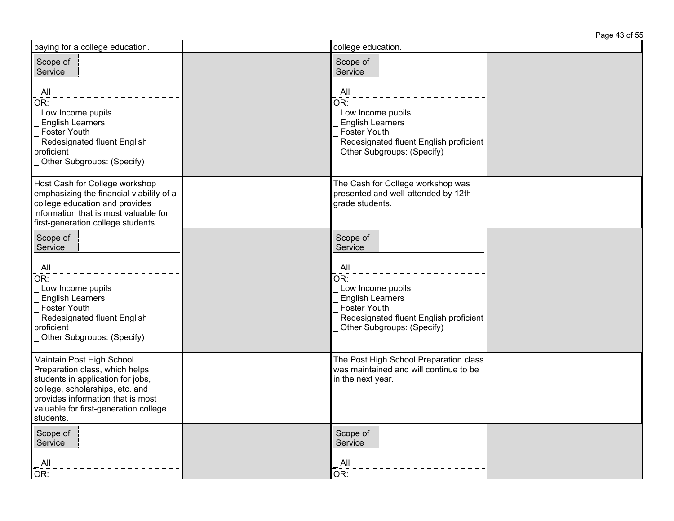| paying for a college education.                                                                                                                                                                                                | college education.                                                                                                                                                              |  |
|--------------------------------------------------------------------------------------------------------------------------------------------------------------------------------------------------------------------------------|---------------------------------------------------------------------------------------------------------------------------------------------------------------------------------|--|
| Scope of<br>Service                                                                                                                                                                                                            | Scope of<br>Service                                                                                                                                                             |  |
| All<br>OR:<br>Low Income pupils<br><b>English Learners</b><br><b>Foster Youth</b><br>Redesignated fluent English<br>proficient<br>Other Subgroups: (Specify)                                                                   | $\overline{A}$ ll<br>−−−<br>OR:<br>Low Income pupils<br><b>English Learners</b><br><b>Foster Youth</b><br>Redesignated fluent English proficient<br>Other Subgroups: (Specify)  |  |
| Host Cash for College workshop<br>emphasizing the financial viability of a<br>college education and provides<br>information that is most valuable for<br>first-generation college students.                                    | The Cash for College workshop was<br>presented and well-attended by 12th<br>grade students.                                                                                     |  |
| Scope of<br>Service                                                                                                                                                                                                            | Scope of<br>Service                                                                                                                                                             |  |
| All<br>OR:<br>Low Income pupils<br><b>English Learners</b><br><b>Foster Youth</b><br>Redesignated fluent English<br>proficient<br>Other Subgroups: (Specify)                                                                   | AM<br>$\overline{\mathsf{OR}}$ :<br>Low Income pupils<br><b>English Learners</b><br><b>Foster Youth</b><br>Redesignated fluent English proficient<br>Other Subgroups: (Specify) |  |
| Maintain Post High School<br>Preparation class, which helps<br>students in application for jobs,<br>college, scholarships, etc. and<br>provides information that is most<br>valuable for first-generation college<br>students. | The Post High School Preparation class<br>was maintained and will continue to be<br>in the next year.                                                                           |  |
| Scope of<br>Service<br>$\mathsf{All}$<br>OR:                                                                                                                                                                                   | Scope of<br>Service<br>$\overline{A}$<br>OR:                                                                                                                                    |  |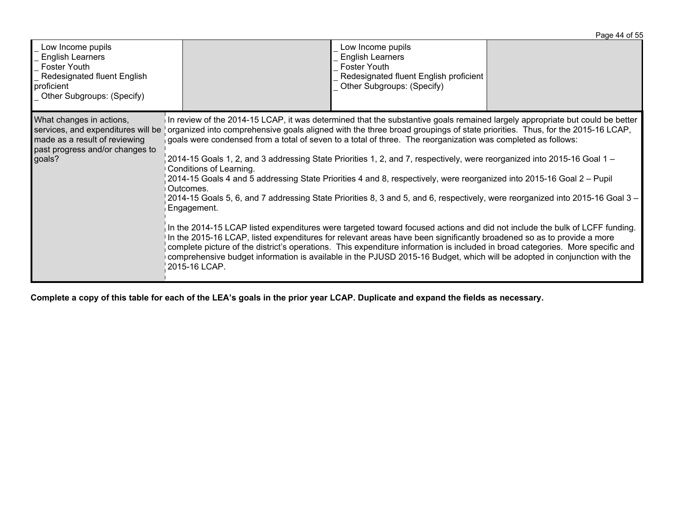|                                                                                                                                              | Page 44 of 55                                                                                                                                                                                                                                                                                                                                                                                                                                                                                                                                                                                                                                                                                                                                                                                                                                                                                                                                                                                                                                                                                                                                                                                                                                                                                                                                                |
|----------------------------------------------------------------------------------------------------------------------------------------------|--------------------------------------------------------------------------------------------------------------------------------------------------------------------------------------------------------------------------------------------------------------------------------------------------------------------------------------------------------------------------------------------------------------------------------------------------------------------------------------------------------------------------------------------------------------------------------------------------------------------------------------------------------------------------------------------------------------------------------------------------------------------------------------------------------------------------------------------------------------------------------------------------------------------------------------------------------------------------------------------------------------------------------------------------------------------------------------------------------------------------------------------------------------------------------------------------------------------------------------------------------------------------------------------------------------------------------------------------------------|
| Low Income pupils<br><b>English Learners</b><br>Foster Youth<br>Redesignated fluent English<br>proficient<br>Other Subgroups: (Specify)      | Low Income pupils<br><b>English Learners</b><br><b>Foster Youth</b><br>Redesignated fluent English proficient<br>Other Subgroups: (Specify)                                                                                                                                                                                                                                                                                                                                                                                                                                                                                                                                                                                                                                                                                                                                                                                                                                                                                                                                                                                                                                                                                                                                                                                                                  |
| What changes in actions,<br>services, and expenditures will be<br>made as a result of reviewing<br>past progress and/or changes to<br>goals? | In review of the 2014-15 LCAP, it was determined that the substantive goals remained largely appropriate but could be better<br>organized into comprehensive goals aligned with the three broad groupings of state priorities. Thus, for the 2015-16 LCAP,<br>goals were condensed from a total of seven to a total of three. The reorganization was completed as follows:<br>2014-15 Goals 1, 2, and 3 addressing State Priorities 1, 2, and 7, respectively, were reorganized into 2015-16 Goal 1 –<br>Conditions of Learning.<br>2014-15 Goals 4 and 5 addressing State Priorities 4 and 8, respectively, were reorganized into 2015-16 Goal 2 – Pupil<br>Outcomes.<br>2014-15 Goals 5, 6, and 7 addressing State Priorities 8, 3 and 5, and 6, respectively, were reorganized into 2015-16 Goal 3 -<br>Engagement.<br>In the 2014-15 LCAP listed expenditures were targeted toward focused actions and did not include the bulk of LCFF funding.<br>In the 2015-16 LCAP, listed expenditures for relevant areas have been significantly broadened so as to provide a more<br>complete picture of the district's operations. This expenditure information is included in broad categories. More specific and<br>comprehensive budget information is available in the PJUSD 2015-16 Budget, which will be adopted in conjunction with the<br>2015-16 LCAP. |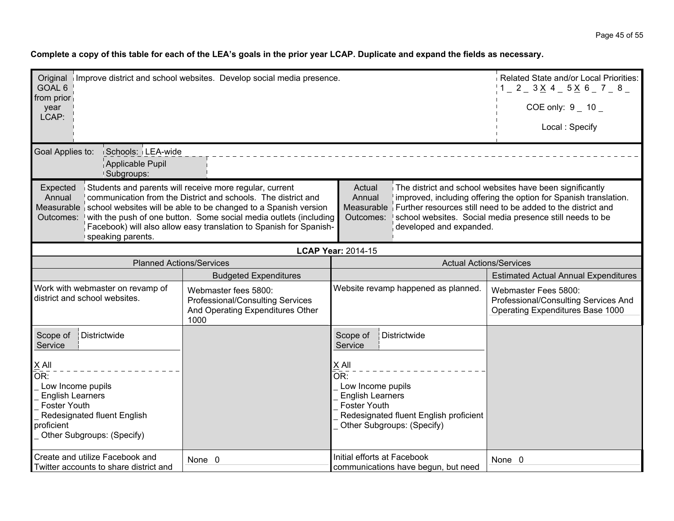| Original Improve district and school websites. Develop social media presence.<br>GOAL 6                                                                                                                                                                                                                                                                                                                                                                                                                                                                                                                                                                                                                                                         | Related State and/or Local Priorities:<br>$1 = 2 = 3 \times 4 = 5 \times 6 = 7 = 8 =$                       |                                                                                                                                                                                      |                                                                                                  |  |  |
|-------------------------------------------------------------------------------------------------------------------------------------------------------------------------------------------------------------------------------------------------------------------------------------------------------------------------------------------------------------------------------------------------------------------------------------------------------------------------------------------------------------------------------------------------------------------------------------------------------------------------------------------------------------------------------------------------------------------------------------------------|-------------------------------------------------------------------------------------------------------------|--------------------------------------------------------------------------------------------------------------------------------------------------------------------------------------|--------------------------------------------------------------------------------------------------|--|--|
| from prior<br>year                                                                                                                                                                                                                                                                                                                                                                                                                                                                                                                                                                                                                                                                                                                              |                                                                                                             |                                                                                                                                                                                      | COE only: $9 - 10 -$                                                                             |  |  |
| LCAP:                                                                                                                                                                                                                                                                                                                                                                                                                                                                                                                                                                                                                                                                                                                                           |                                                                                                             |                                                                                                                                                                                      | Local: Specify                                                                                   |  |  |
| Goal Applies to:<br>Schools: LEA-wide<br>Applicable Pupil<br><sup>1</sup> Subgroups:                                                                                                                                                                                                                                                                                                                                                                                                                                                                                                                                                                                                                                                            |                                                                                                             |                                                                                                                                                                                      |                                                                                                  |  |  |
| Students and parents will receive more regular, current<br>The district and school websites have been significantly<br>Expected<br>Actual<br>communication from the District and schools. The district and<br>improved, including offering the option for Spanish translation.<br>Annual<br>Annual<br>Measurable school websites will be able to be changed to a Spanish version<br>Measurable<br>Further resources still need to be added to the district and<br>with the push of one button. Some social media outlets (including<br>school websites. Social media presence still needs to be<br>Outcomes:<br>Outcomes:<br>Facebook) will also allow easy translation to Spanish for Spanish-<br>developed and expanded.<br>speaking parents. |                                                                                                             |                                                                                                                                                                                      |                                                                                                  |  |  |
|                                                                                                                                                                                                                                                                                                                                                                                                                                                                                                                                                                                                                                                                                                                                                 |                                                                                                             | <b>LCAP Year: 2014-15</b>                                                                                                                                                            |                                                                                                  |  |  |
| <b>Planned Actions/Services</b>                                                                                                                                                                                                                                                                                                                                                                                                                                                                                                                                                                                                                                                                                                                 |                                                                                                             |                                                                                                                                                                                      | <b>Actual Actions/Services</b>                                                                   |  |  |
|                                                                                                                                                                                                                                                                                                                                                                                                                                                                                                                                                                                                                                                                                                                                                 | <b>Budgeted Expenditures</b>                                                                                |                                                                                                                                                                                      | <b>Estimated Actual Annual Expenditures</b>                                                      |  |  |
| Work with webmaster on revamp of<br>district and school websites.                                                                                                                                                                                                                                                                                                                                                                                                                                                                                                                                                                                                                                                                               | Webmaster fees 5800:<br><b>Professional/Consulting Services</b><br>And Operating Expenditures Other<br>1000 | Website revamp happened as planned.                                                                                                                                                  | Webmaster Fees 5800:<br>Professional/Consulting Services And<br>Operating Expenditures Base 1000 |  |  |
| Districtwide<br>Scope of<br>Service                                                                                                                                                                                                                                                                                                                                                                                                                                                                                                                                                                                                                                                                                                             |                                                                                                             | Scope of<br>Districtwide<br>Service                                                                                                                                                  |                                                                                                  |  |  |
| $\times$ All<br>OR:<br>Low Income pupils<br><b>English Learners</b><br><b>Foster Youth</b><br>Redesignated fluent English<br>proficient<br>Other Subgroups: (Specify)                                                                                                                                                                                                                                                                                                                                                                                                                                                                                                                                                                           |                                                                                                             | $X$ All<br>$\overline{\mathsf{OR}}$ :<br>Low Income pupils<br><b>English Learners</b><br><b>Foster Youth</b><br>Redesignated fluent English proficient<br>Other Subgroups: (Specify) |                                                                                                  |  |  |
| Create and utilize Facebook and<br>Twitter accounts to share district and                                                                                                                                                                                                                                                                                                                                                                                                                                                                                                                                                                                                                                                                       | None 0                                                                                                      | Initial efforts at Facebook<br>communications have begun, but need                                                                                                                   | None 0                                                                                           |  |  |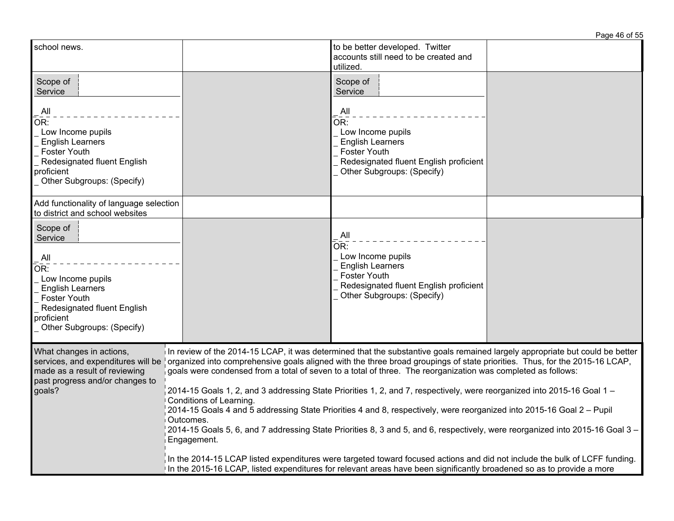|                                                                                                                                                                                     |                                                                                                                                                                                                                                                                                                                                                                                                                                                                                                                                                                                                                                                                                                                                                                                                                                                                                                                                                                                                                                                                               |                                                                                                                                                                                       | Page 46 of 55 |
|-------------------------------------------------------------------------------------------------------------------------------------------------------------------------------------|-------------------------------------------------------------------------------------------------------------------------------------------------------------------------------------------------------------------------------------------------------------------------------------------------------------------------------------------------------------------------------------------------------------------------------------------------------------------------------------------------------------------------------------------------------------------------------------------------------------------------------------------------------------------------------------------------------------------------------------------------------------------------------------------------------------------------------------------------------------------------------------------------------------------------------------------------------------------------------------------------------------------------------------------------------------------------------|---------------------------------------------------------------------------------------------------------------------------------------------------------------------------------------|---------------|
| school news.                                                                                                                                                                        |                                                                                                                                                                                                                                                                                                                                                                                                                                                                                                                                                                                                                                                                                                                                                                                                                                                                                                                                                                                                                                                                               | to be better developed. Twitter<br>accounts still need to be created and<br>utilized.                                                                                                 |               |
| Scope of<br>Service                                                                                                                                                                 |                                                                                                                                                                                                                                                                                                                                                                                                                                                                                                                                                                                                                                                                                                                                                                                                                                                                                                                                                                                                                                                                               | Scope of<br>Service                                                                                                                                                                   |               |
| All<br>OR:<br>Low Income pupils<br><b>English Learners</b><br>Foster Youth<br>Redesignated fluent English<br>proficient<br>Other Subgroups: (Specify)                               |                                                                                                                                                                                                                                                                                                                                                                                                                                                                                                                                                                                                                                                                                                                                                                                                                                                                                                                                                                                                                                                                               | All<br>OR:<br>Low Income pupils<br><b>English Learners</b><br><b>Foster Youth</b><br>Redesignated fluent English proficient<br>Other Subgroups: (Specify)                             |               |
| Add functionality of language selection<br>to district and school websites                                                                                                          |                                                                                                                                                                                                                                                                                                                                                                                                                                                                                                                                                                                                                                                                                                                                                                                                                                                                                                                                                                                                                                                                               |                                                                                                                                                                                       |               |
| Scope of<br>Service<br>All<br>OR:<br>Low Income pupils<br><b>English Learners</b><br><b>Foster Youth</b><br>Redesignated fluent English<br>proficient<br>Other Subgroups: (Specify) |                                                                                                                                                                                                                                                                                                                                                                                                                                                                                                                                                                                                                                                                                                                                                                                                                                                                                                                                                                                                                                                                               | $\overline{A}$ ll<br>$\overline{OR}$ :<br>Low Income pupils<br><b>English Learners</b><br><b>Foster Youth</b><br>Redesignated fluent English proficient<br>Other Subgroups: (Specify) |               |
| What changes in actions,<br>services, and expenditures will be<br>made as a result of reviewing<br>past progress and/or changes to<br>goals?                                        | In review of the 2014-15 LCAP, it was determined that the substantive goals remained largely appropriate but could be better<br>organized into comprehensive goals aligned with the three broad groupings of state priorities. Thus, for the 2015-16 LCAP,<br>goals were condensed from a total of seven to a total of three. The reorganization was completed as follows:<br>2014-15 Goals 1, 2, and 3 addressing State Priorities 1, 2, and 7, respectively, were reorganized into 2015-16 Goal 1 –<br>Conditions of Learning.<br>2014-15 Goals 4 and 5 addressing State Priorities 4 and 8, respectively, were reorganized into 2015-16 Goal 2 – Pupil<br>Outcomes.<br>2014-15 Goals 5, 6, and 7 addressing State Priorities 8, 3 and 5, and 6, respectively, were reorganized into 2015-16 Goal 3 –<br>Engagement.<br>In the 2014-15 LCAP listed expenditures were targeted toward focused actions and did not include the bulk of LCFF funding.<br>In the 2015-16 LCAP, listed expenditures for relevant areas have been significantly broadened so as to provide a more |                                                                                                                                                                                       |               |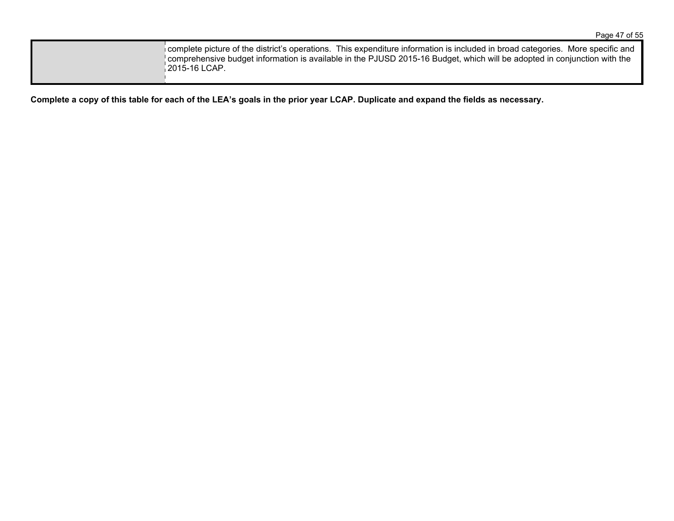| complete picture of the district's operations. This expenditure information is included in broad categories. More specific and |
|--------------------------------------------------------------------------------------------------------------------------------|
| comprehensive budget information is available in the PJUSD 2015-16 Budget, which will be adopted in conjunction with the       |
| 2015-16 LCAP.                                                                                                                  |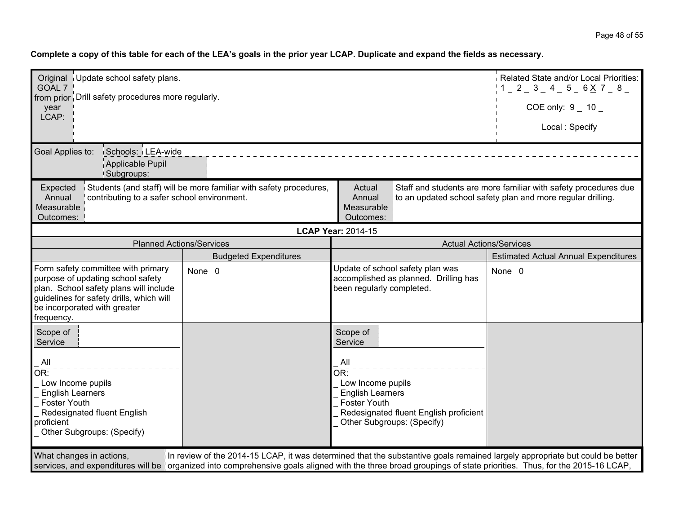| Original Update school safety plans.<br>GOAL <sub>7</sub><br>from prior Drill safety procedures more regularly.<br>year<br>LCAP:                                                                            |                                                                    |                                                                                                                                                                                                                                                                                               | Related State and/or Local Priorities:<br>$1 = 2 = 3 = 4 = 5 = 6 \times 7 = 8 =$<br>COE only: 9 _ 10 _<br>Local: Specify       |  |  |
|-------------------------------------------------------------------------------------------------------------------------------------------------------------------------------------------------------------|--------------------------------------------------------------------|-----------------------------------------------------------------------------------------------------------------------------------------------------------------------------------------------------------------------------------------------------------------------------------------------|--------------------------------------------------------------------------------------------------------------------------------|--|--|
| Schools: LEA-wide<br>Goal Applies to:<br>Applicable Pupil<br>Subgroups:                                                                                                                                     |                                                                    |                                                                                                                                                                                                                                                                                               |                                                                                                                                |  |  |
| Expected<br>contributing to a safer school environment.<br>Annual<br>Measurable<br>Outcomes:                                                                                                                | Students (and staff) will be more familiar with safety procedures, | Actual<br>Annual<br>Measurable<br>Outcomes:                                                                                                                                                                                                                                                   | Staff and students are more familiar with safety procedures due<br>to an updated school safety plan and more regular drilling. |  |  |
|                                                                                                                                                                                                             |                                                                    | <b>LCAP Year: 2014-15</b>                                                                                                                                                                                                                                                                     |                                                                                                                                |  |  |
| <b>Planned Actions/Services</b>                                                                                                                                                                             |                                                                    | <b>Actual Actions/Services</b>                                                                                                                                                                                                                                                                |                                                                                                                                |  |  |
|                                                                                                                                                                                                             | <b>Budgeted Expenditures</b>                                       |                                                                                                                                                                                                                                                                                               | <b>Estimated Actual Annual Expenditures</b>                                                                                    |  |  |
| Form safety committee with primary<br>purpose of updating school safety<br>plan. School safety plans will include<br>guidelines for safety drills, which will<br>be incorporated with greater<br>frequency. | None 0                                                             | Update of school safety plan was<br>accomplished as planned. Drilling has<br>been regularly completed.                                                                                                                                                                                        | None 0                                                                                                                         |  |  |
| Scope of<br>Service<br>All<br>OR:<br>Low Income pupils<br><b>English Learners</b><br><b>Foster Youth</b><br>Redesignated fluent English<br>proficient<br>Other Subgroups: (Specify)                         |                                                                    | Scope of<br>Service<br>AII<br>$\overline{OR}$ :<br>Low Income pupils<br><b>English Learners</b><br><b>Foster Youth</b><br>Redesignated fluent English proficient<br>Other Subgroups: (Specify)                                                                                                |                                                                                                                                |  |  |
| What changes in actions,                                                                                                                                                                                    |                                                                    | In review of the 2014-15 LCAP, it was determined that the substantive goals remained largely appropriate but could be better<br>services, and expenditures will be organized into comprehensive goals aligned with the three broad groupings of state priorities. Thus, for the 2015-16 LCAP, |                                                                                                                                |  |  |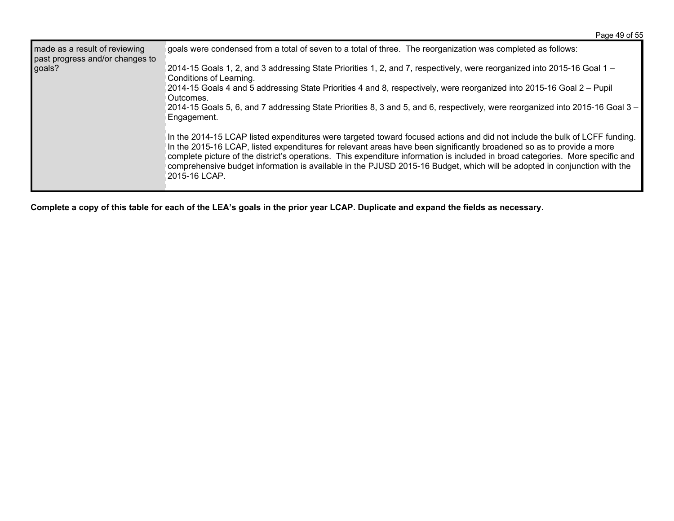| made as a result of reviewing<br>past progress and/or changes to | goals were condensed from a total of seven to a total of three. The reorganization was completed as follows:                                                                                                                                                                                                                                                                                                                                                                                                                       |
|------------------------------------------------------------------|------------------------------------------------------------------------------------------------------------------------------------------------------------------------------------------------------------------------------------------------------------------------------------------------------------------------------------------------------------------------------------------------------------------------------------------------------------------------------------------------------------------------------------|
| goals?                                                           | 2014-15 Goals 1, 2, and 3 addressing State Priorities 1, 2, and 7, respectively, were reorganized into 2015-16 Goal 1 –<br>Conditions of Learning.                                                                                                                                                                                                                                                                                                                                                                                 |
|                                                                  | 2014-15 Goals 4 and 5 addressing State Priorities 4 and 8, respectively, were reorganized into 2015-16 Goal 2 – Pupil<br>Outcomes.                                                                                                                                                                                                                                                                                                                                                                                                 |
|                                                                  | $\frac{1}{2}$ 2014-15 Goals 5, 6, and 7 addressing State Priorities 8, 3 and 5, and 6, respectively, were reorganized into 2015-16 Goal 3 –<br>Engagement.                                                                                                                                                                                                                                                                                                                                                                         |
|                                                                  | In the 2014-15 LCAP listed expenditures were targeted toward focused actions and did not include the bulk of LCFF funding.<br>In the 2015-16 LCAP, listed expenditures for relevant areas have been significantly broadened so as to provide a more<br>complete picture of the district's operations. This expenditure information is included in broad categories. More specific and<br>comprehensive budget information is available in the PJUSD 2015-16 Budget, which will be adopted in conjunction with the<br>2015-16 LCAP. |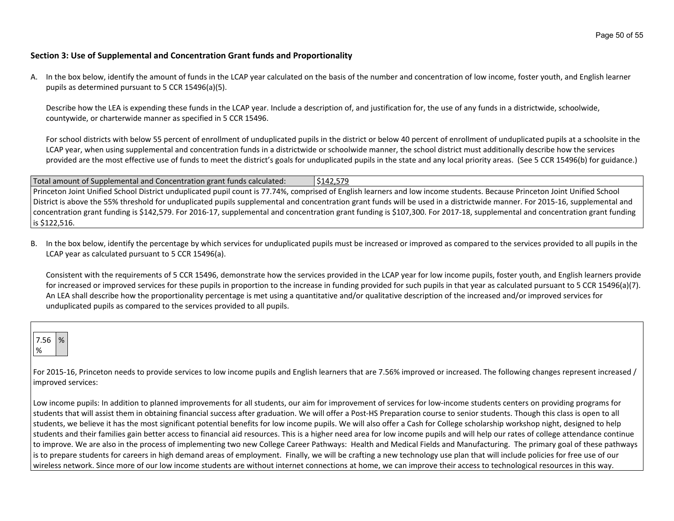### **Section 3: Use of Supplemental and Concentration Grant funds and Proportionality**

A. In the box below, identify the amount of funds in the LCAP year calculated on the basis of the number and concentration of low income, foster youth, and English learner pupils as determined pursuant to 5 CCR 15496(a)(5).

Describe how the LEA is expending these funds in the LCAP year. Include a description of, and justification for, the use of any funds in a districtwide, schoolwide, countywide, or charterwide manner as specified in 5 CCR 15496.

For school districts with below 55 percent of enrollment of unduplicated pupils in the district or below 40 percent of enrollment of unduplicated pupils at a schoolsite in the LCAP year, when using supplemental and concentration funds in a districtwide or schoolwide manner, the school district must additionally describe how the services provided are the most effective use of funds to meet the district's goals for unduplicated pupils in the state and any local priority areas. (See 5 CCR 15496(b) for guidance.)

Total amount of Supplemental and Concentration grant funds calculated:  $\frac{\text{142,579}}{\text{242,579}}$ Princeton Joint Unified School District unduplicated pupil count is 77.74%, comprised of English learners and low income students. Because Princeton Joint Unified School District is above the 55% threshold for unduplicated pupils supplemental and concentration grant funds will be used in a districtwide manner. For 2015-16, supplemental and concentration grant funding is \$142,579. For 2016-17, supplemental and concentration grant funding is \$107,300. For 2017-18, supplemental and concentration grant funding is \$122,516.

B. In the box below, identify the percentage by which services for unduplicated pupils must be increased or improved as compared to the services provided to all pupils in the LCAP year as calculated pursuant to 5 CCR 15496(a).

Consistent with the requirements of 5 CCR 15496, demonstrate how the services provided in the LCAP year for low income pupils, foster youth, and English learners provide for increased or improved services for these pupils in proportion to the increase in funding provided for such pupils in that year as calculated pursuant to 5 CCR 15496(a)(7). An LEA shall describe how the proportionality percentage is met using a quantitative and/or qualitative description of the increased and/or improved services for unduplicated pupils as compared to the services provided to all pupils.

| 4 |  |
|---|--|

For 2015-16, Princeton needs to provide services to low income pupils and English learners that are 7.56% improved or increased. The following changes represent increased / improved services:

Low income pupils: In addition to planned improvements for all students, our aim for improvement of services for low-income students centers on providing programs for students that will assist them in obtaining financial success after graduation. We will offer a Post-HS Preparation course to senior students. Though this class is open to all students, we believe it has the most significant potential benefits for low income pupils. We will also offer a Cash for College scholarship workshop night, designed to help students and their families gain better access to financial aid resources. This is a higher need area for low income pupils and will help our rates of college attendance continue to improve. We are also in the process of implementing two new College Career Pathways: Health and Medical Fields and Manufacturing. The primary goal of these pathways is to prepare students for careers in high demand areas of employment. Finally, we will be crafting a new technology use plan that will include policies for free use of our wireless network. Since more of our low income students are without internet connections at home, we can improve their access to technological resources in this way.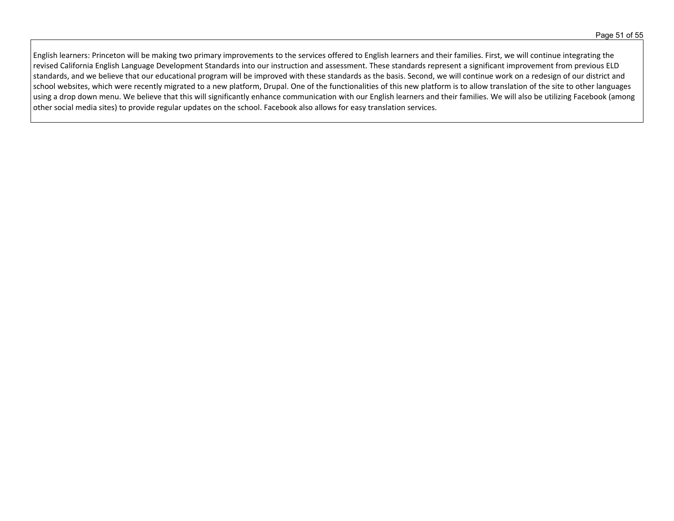English learners: Princeton will be making two primary improvements to the services offered to English learners and their families. First, we will continue integrating the revised California English Language Development Standards into our instruction and assessment. These standards represent a significant improvement from previous ELD standards, and we believe that our educational program will be improved with these standards as the basis. Second, we will continue work on a redesign of our district and school websites, which were recently migrated to a new platform, Drupal. One of the functionalities of this new platform is to allow translation of the site to other languages using a drop down menu. We believe that this will significantly enhance communication with our English learners and their families. We will also be utilizing Facebook (among other social media sites) to provide regular updates on the school. Facebook also allows for easy translation services.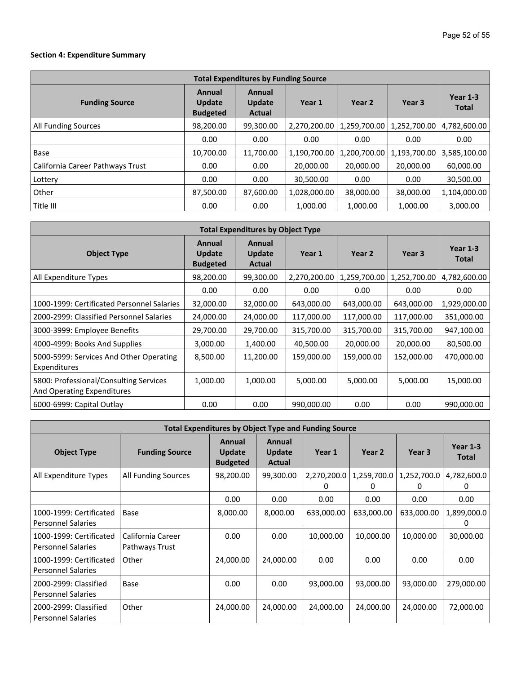# **Section 4: Expenditure Summary**

| <b>Total Expenditures by Funding Source</b> |                                            |                                   |              |              |              |                          |  |  |  |
|---------------------------------------------|--------------------------------------------|-----------------------------------|--------------|--------------|--------------|--------------------------|--|--|--|
| <b>Funding Source</b>                       | Annual<br><b>Update</b><br><b>Budgeted</b> | Annual<br><b>Update</b><br>Actual | Year 1       | Year 2       | Year 3       | Year 1-3<br><b>Total</b> |  |  |  |
| All Funding Sources                         | 98,200.00                                  | 99,300.00                         | 2,270,200.00 | 1,259,700.00 | 1,252,700.00 | 4,782,600.00             |  |  |  |
|                                             | 0.00                                       | 0.00                              | 0.00         | 0.00         | 0.00         | 0.00                     |  |  |  |
| Base                                        | 10.700.00                                  | 11,700.00                         | 1,190,700.00 | 1,200,700.00 | 1,193,700.00 | 3,585,100.00             |  |  |  |
| California Career Pathways Trust            | 0.00                                       | 0.00                              | 20.000.00    | 20,000.00    | 20,000.00    | 60,000.00                |  |  |  |
| Lottery                                     | 0.00                                       | 0.00                              | 30,500.00    | 0.00         | 0.00         | 30,500.00                |  |  |  |
| Other                                       | 87.500.00                                  | 87,600.00                         | 1,028,000.00 | 38,000.00    | 38,000.00    | 1,104,000.00             |  |  |  |
| Title III                                   | 0.00                                       | 0.00                              | 1.000.00     | 1,000.00     | 1,000.00     | 3.000.00                 |  |  |  |

| <b>Total Expenditures by Object Type</b>                             |                                     |                            |              |              |              |                            |  |  |  |
|----------------------------------------------------------------------|-------------------------------------|----------------------------|--------------|--------------|--------------|----------------------------|--|--|--|
| <b>Object Type</b>                                                   | Annual<br>Update<br><b>Budgeted</b> | Annual<br>Update<br>Actual | Year 1       | Year 2       | Year 3       | Year $1-3$<br><b>Total</b> |  |  |  |
| All Expenditure Types                                                | 98,200.00                           | 99,300.00                  | 2,270,200.00 | 1,259,700.00 | 1,252,700.00 | 4,782,600.00               |  |  |  |
|                                                                      | 0.00                                | 0.00                       | 0.00         | 0.00         | 0.00         | 0.00                       |  |  |  |
| 1000-1999: Certificated Personnel Salaries                           | 32,000.00                           | 32,000.00                  | 643,000.00   | 643,000.00   | 643,000.00   | 1,929,000.00               |  |  |  |
| 2000-2999: Classified Personnel Salaries                             | 24,000.00                           | 24,000.00                  | 117,000.00   | 117,000.00   | 117,000.00   | 351,000.00                 |  |  |  |
| 3000-3999: Employee Benefits                                         | 29,700.00                           | 29,700.00                  | 315,700.00   | 315,700.00   | 315,700.00   | 947,100.00                 |  |  |  |
| 4000-4999: Books And Supplies                                        | 3,000.00                            | 1,400.00                   | 40,500.00    | 20,000.00    | 20,000.00    | 80,500.00                  |  |  |  |
| 5000-5999: Services And Other Operating<br>Expenditures              | 8,500.00                            | 11,200.00                  | 159,000.00   | 159,000.00   | 152,000.00   | 470,000.00                 |  |  |  |
| 5800: Professional/Consulting Services<br>And Operating Expenditures | 1,000.00                            | 1,000.00                   | 5,000.00     | 5,000.00     | 5,000.00     | 15,000.00                  |  |  |  |
| 6000-6999: Capital Outlay                                            | 0.00                                | 0.00                       | 990,000.00   | 0.00         | 0.00         | 990,000.00                 |  |  |  |

| <b>Total Expenditures by Object Type and Funding Source</b> |                                     |                                            |                                   |                  |                  |                   |                                 |  |  |
|-------------------------------------------------------------|-------------------------------------|--------------------------------------------|-----------------------------------|------------------|------------------|-------------------|---------------------------------|--|--|
| <b>Object Type</b>                                          | <b>Funding Source</b>               | Annual<br><b>Update</b><br><b>Budgeted</b> | Annual<br><b>Update</b><br>Actual | Year 1           | Year 2           | Year <sub>3</sub> | <b>Year 1-3</b><br><b>Total</b> |  |  |
| All Expenditure Types                                       | All Funding Sources                 | 98,200.00                                  | 99,300.00                         | 2,270,200.0<br>0 | 1,259,700.0<br>0 | 1,252,700.0<br>0  | 4,782,600.0<br>$^{(1)}$         |  |  |
|                                                             |                                     | 0.00                                       | 0.00                              | 0.00             | 0.00             | 0.00              | 0.00                            |  |  |
| 1000-1999: Certificated<br><b>Personnel Salaries</b>        | Base                                | 8,000.00                                   | 8,000.00                          | 633,000.00       | 633,000.00       | 633,000.00        | 1,899,000.0<br>0                |  |  |
| 1000-1999: Certificated<br><b>Personnel Salaries</b>        | California Career<br>Pathways Trust | 0.00                                       | 0.00                              | 10,000.00        | 10,000.00        | 10,000.00         | 30,000.00                       |  |  |
| 1000-1999: Certificated<br><b>Personnel Salaries</b>        | Other                               | 24,000.00                                  | 24,000.00                         | 0.00             | 0.00             | 0.00              | 0.00                            |  |  |
| 2000-2999: Classified<br><b>Personnel Salaries</b>          | Base                                | 0.00                                       | 0.00                              | 93,000.00        | 93,000.00        | 93,000.00         | 279,000.00                      |  |  |
| 2000-2999: Classified<br><b>Personnel Salaries</b>          | Other                               | 24,000.00                                  | 24,000.00                         | 24,000.00        | 24,000.00        | 24,000.00         | 72,000.00                       |  |  |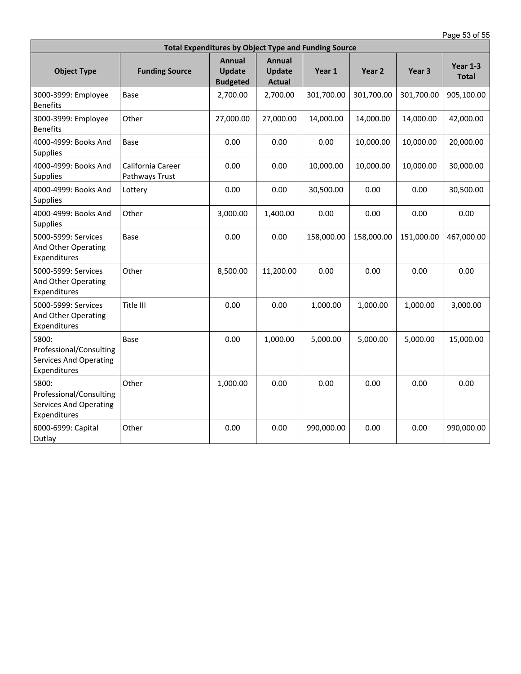| <b>Total Expenditures by Object Type and Funding Source</b>                       |                                     |                                                   |                                                 |            |                   |                   |                            |  |  |
|-----------------------------------------------------------------------------------|-------------------------------------|---------------------------------------------------|-------------------------------------------------|------------|-------------------|-------------------|----------------------------|--|--|
| <b>Object Type</b>                                                                | <b>Funding Source</b>               | <b>Annual</b><br><b>Update</b><br><b>Budgeted</b> | <b>Annual</b><br><b>Update</b><br><b>Actual</b> | Year 1     | Year <sub>2</sub> | Year <sub>3</sub> | Year $1-3$<br><b>Total</b> |  |  |
| 3000-3999: Employee<br><b>Benefits</b>                                            | Base                                | 2,700.00                                          | 2,700.00                                        | 301,700.00 | 301,700.00        | 301,700.00        | 905,100.00                 |  |  |
| 3000-3999: Employee<br><b>Benefits</b>                                            | Other                               | 27,000.00                                         | 27,000.00                                       | 14,000.00  | 14,000.00         | 14,000.00         | 42,000.00                  |  |  |
| 4000-4999: Books And<br><b>Supplies</b>                                           | Base                                | 0.00                                              | 0.00                                            | 0.00       | 10,000.00         | 10,000.00         | 20,000.00                  |  |  |
| 4000-4999: Books And<br><b>Supplies</b>                                           | California Career<br>Pathways Trust | 0.00                                              | 0.00                                            | 10,000.00  | 10,000.00         | 10,000.00         | 30,000.00                  |  |  |
| 4000-4999: Books And<br>Supplies                                                  | Lottery                             | 0.00                                              | 0.00                                            | 30,500.00  | 0.00              | 0.00              | 30,500.00                  |  |  |
| 4000-4999: Books And<br>Supplies                                                  | Other                               | 3,000.00                                          | 1,400.00                                        | 0.00       | 0.00              | 0.00              | 0.00                       |  |  |
| 5000-5999: Services<br>And Other Operating<br>Expenditures                        | Base                                | 0.00                                              | 0.00                                            | 158,000.00 | 158,000.00        | 151,000.00        | 467,000.00                 |  |  |
| 5000-5999: Services<br>And Other Operating<br>Expenditures                        | Other                               | 8,500.00                                          | 11,200.00                                       | 0.00       | 0.00              | 0.00              | 0.00                       |  |  |
| 5000-5999: Services<br>And Other Operating<br>Expenditures                        | Title III                           | 0.00                                              | 0.00                                            | 1,000.00   | 1,000.00          | 1,000.00          | 3,000.00                   |  |  |
| 5800:<br>Professional/Consulting<br><b>Services And Operating</b><br>Expenditures | Base                                | 0.00                                              | 1,000.00                                        | 5,000.00   | 5,000.00          | 5,000.00          | 15,000.00                  |  |  |
| 5800:<br>Professional/Consulting<br><b>Services And Operating</b><br>Expenditures | Other                               | 1,000.00                                          | 0.00                                            | 0.00       | 0.00              | 0.00              | 0.00                       |  |  |
| 6000-6999: Capital<br>Outlay                                                      | Other                               | 0.00                                              | 0.00                                            | 990,000.00 | 0.00              | 0.00              | 990,000.00                 |  |  |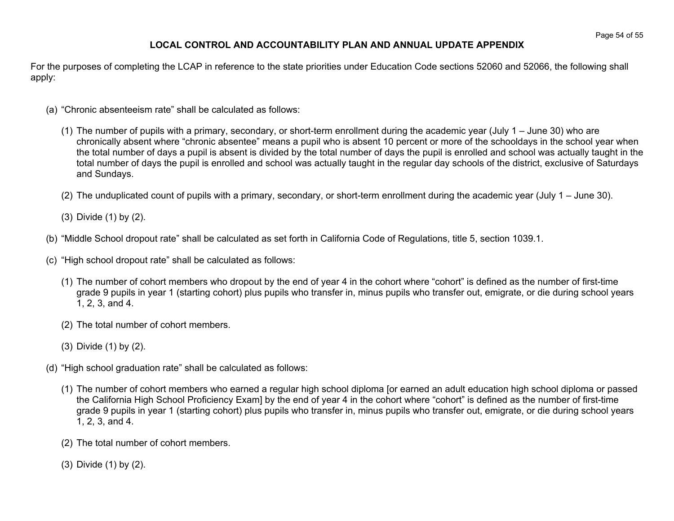# **LOCAL CONTROL AND ACCOUNTABILITY PLAN AND ANNUAL UPDATE APPENDIX**

For the purposes of completing the LCAP in reference to the state priorities under Education Code sections 52060 and 52066, the following shall apply:

- (a) "Chronic absenteeism rate" shall be calculated as follows:
	- (1) The number of pupils with a primary, secondary, or short-term enrollment during the academic year (July 1 June 30) who are chronically absent where "chronic absentee" means a pupil who is absent 10 percent or more of the schooldays in the school year when the total number of days a pupil is absent is divided by the total number of days the pupil is enrolled and school was actually taught in the total number of days the pupil is enrolled and school was actually taught in the regular day schools of the district, exclusive of Saturdays and Sundays.
	- (2) The unduplicated count of pupils with a primary, secondary, or short-term enrollment during the academic year (July 1 June 30).
	- (3) Divide (1) by (2).
- (b) "Middle School dropout rate" shall be calculated as set forth in California Code of Regulations, title 5, section 1039.1.
- (c) "High school dropout rate" shall be calculated as follows:
	- (1) The number of cohort members who dropout by the end of year 4 in the cohort where "cohort" is defined as the number of first-time grade 9 pupils in year 1 (starting cohort) plus pupils who transfer in, minus pupils who transfer out, emigrate, or die during school years 1, 2, 3, and 4.
	- (2) The total number of cohort members.
	- (3) Divide (1) by (2).
- (d) "High school graduation rate" shall be calculated as follows:
	- (1) The number of cohort members who earned a regular high school diploma [or earned an adult education high school diploma or passed the California High School Proficiency Exam] by the end of year 4 in the cohort where "cohort" is defined as the number of first-time grade 9 pupils in year 1 (starting cohort) plus pupils who transfer in, minus pupils who transfer out, emigrate, or die during school years 1, 2, 3, and 4.
	- (2) The total number of cohort members.
	- (3) Divide (1) by (2).